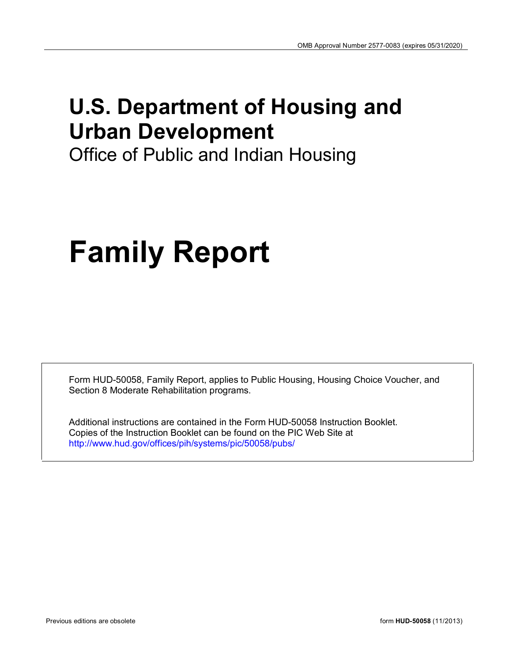## **U.S. Department of Housing and Urban Development**

Office of Public and Indian Housing

# **Family Report**

Form HUD-50058, Family Report, applies to Public Housing, Housing Choice Voucher, and Section 8 Moderate Rehabilitation programs.

Additional instructions are contained in the Form HUD-50058 Instruction Booklet. Copies of the Instruction Booklet can be found on the PIC Web Site at http://www.hud.gov/offices/pih/systems/pic/50058/pubs/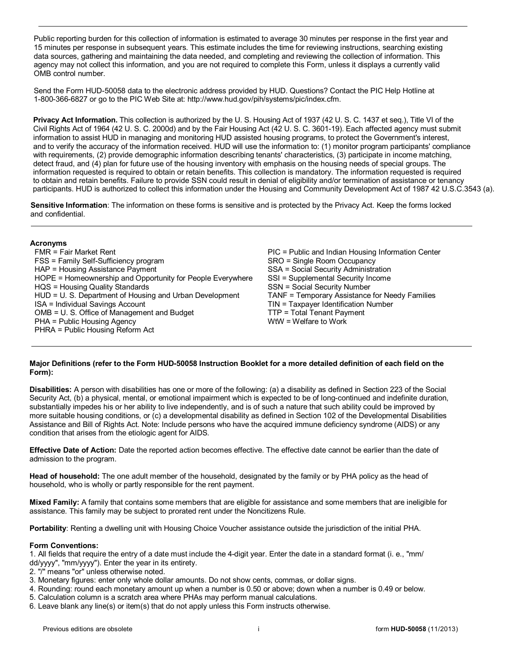Public reporting burden for this collection of information is estimated to average 30 minutes per response in the first year and 15 minutes per response in subsequent years. This estimate includes the time for reviewing instructions, searching existing data sources, gathering and maintaining the data needed, and completing and reviewing the collection of information. This agency may not collect this information, and you are not required to complete this Form, unless it displays a currently valid OMB control number.

Send the Form HUD-50058 data to the electronic address provided by HUD. Questions? Contact the PIC Help Hotline at 1-800-366-6827 or go to the PIC Web Site at: http://www.hud.gov/pih/systems/pic/index.cfm.

**Privacy Act Information.** This collection is authorized by the U. S. Housing Act of 1937 (42 U. S. C. 1437 et seq.), Title VI of the Civil Rights Act of 1964 (42 U. S. C. 2000d) and by the Fair Housing Act (42 U. S. C. 3601-19). Each affected agency must submit information to assist HUD in managing and monitoring HUD assisted housing programs, to protect the Government's interest, and to verify the accuracy of the information received. HUD will use the information to: (1) monitor program participants' compliance with requirements, (2) provide demographic information describing tenants' characteristics, (3) participate in income matching, detect fraud, and (4) plan for future use of the housing inventory with emphasis on the housing needs of special groups. The information requested is required to obtain or retain benefits. This collection is mandatory. The information requested is required to obtain and retain benefits. Failure to provide SSN could result in denial of eligibility and/or termination of assistance or tenancy participants. HUD is authorized to collect this information under the Housing and Community Development Act of 1987 42 U.S.C.3543 (a).

**Sensitive Information**: The information on these forms is sensitive and is protected by the Privacy Act. Keep the forms locked and confidential.

#### **Acronyms**

FMR = Fair Market Rent PIC = Public and Indian Housing Information Center FSS = Family Self-Sufficiency program SRO = Single Room Occupancy HAP = Housing Assistance Payment The SSA = Social Security Administration HOPE = Homeownership and Opportunity for People Everywhere SSI = Supplemental Security Income HQS = Housing Quality Standards The Standards SSN = Social Security Number HUD = U. S. Department of Housing and Urban Development TANF = Temporary Assistance for Needy Families ISA = Individual Savings Account TIN = Taxpayer Identification Number<br>
OMB = U. S. Office of Management and Budget TTP = Total Tenant Payment OMB = U. S. Office of Management and Budget TTP = Total Tenant Payment Payment Computer TTP = Total Tenant Payment Payment Computer Payment Computer Section Payment Computer Payment Computer Payment Computer Payment Comput  $PHA =$  Public Housing Agency PHRA = Public Housing Reform Act

#### **Major Definitions (refer to the Form HUD-50058 Instruction Booklet for a more detailed definition of each field on the Form):**

**Disabilities:** A person with disabilities has one or more of the following: (a) a disability as defined in Section 223 of the Social Security Act, (b) a physical, mental, or emotional impairment which is expected to be of long-continued and indefinite duration, substantially impedes his or her ability to live independently, and is of such a nature that such ability could be improved by more suitable housing conditions, or (c) a developmental disability as defined in Section 102 of the Developmental Disabilities Assistance and Bill of Rights Act. Note: Include persons who have the acquired immune deficiency syndrome (AIDS) or any condition that arises from the etiologic agent for AIDS.

**Effective Date of Action:** Date the reported action becomes effective. The effective date cannot be earlier than the date of admission to the program.

**Head of household:** The one adult member of the household, designated by the family or by PHA policy as the head of household, who is wholly or partly responsible for the rent payment.

**Mixed Family:** A family that contains some members that are eligible for assistance and some members that are ineligible for assistance. This family may be subject to prorated rent under the Noncitizens Rule.

**Portability**: Renting a dwelling unit with Housing Choice Voucher assistance outside the jurisdiction of the initial PHA.

#### **Form Conventions:**

1. All fields that require the entry of a date must include the 4-digit year. Enter the date in a standard format (i. e., "mm/ dd/yyyy", "mm/yyyy"). Enter the year in its entirety.

- 2. "/" means "or" unless otherwise noted.
- 3. Monetary figures: enter only whole dollar amounts. Do not show cents, commas, or dollar signs.
- 4. Rounding: round each monetary amount up when a number is 0.50 or above; down when a number is 0.49 or below.
- 5. Calculation column is a scratch area where PHAs may perform manual calculations.
- 6. Leave blank any line(s) or item(s) that do not apply unless this Form instructs otherwise.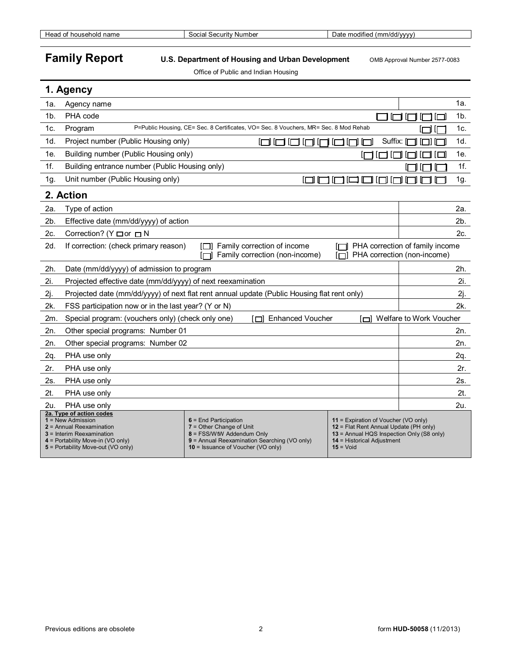Head of household name Social Security Number Date modified (mm/dd/yyyy)

## **Family Report** U.S. Department of Housing and Urban Development OMB Approval Number 2577-0083

Office of Public and Indian Housing

|                | 1. Agency                                                                                                                                                   |                                                                                                                                                                                                  |                                                                                                                                                             |                                                                |        |
|----------------|-------------------------------------------------------------------------------------------------------------------------------------------------------------|--------------------------------------------------------------------------------------------------------------------------------------------------------------------------------------------------|-------------------------------------------------------------------------------------------------------------------------------------------------------------|----------------------------------------------------------------|--------|
| 1a.            | Agency name                                                                                                                                                 |                                                                                                                                                                                                  |                                                                                                                                                             |                                                                | 1а.    |
| 1 <sub>b</sub> | PHA code                                                                                                                                                    |                                                                                                                                                                                                  |                                                                                                                                                             |                                                                | $1b$ . |
| 1c.            | Program                                                                                                                                                     | P=Public Housing, CE= Sec. 8 Certificates, VO= Sec. 8 Vouchers, MR= Sec. 8 Mod Rehab                                                                                                             |                                                                                                                                                             |                                                                | 1c.    |
| 1d.            | Project number (Public Housing only)                                                                                                                        | oonnar                                                                                                                                                                                           | Suffix: [T                                                                                                                                                  |                                                                | 1d.    |
| 1e.            | Building number (Public Housing only)                                                                                                                       |                                                                                                                                                                                                  |                                                                                                                                                             |                                                                | 1e.    |
| 1f.            | Building entrance number (Public Housing only)                                                                                                              |                                                                                                                                                                                                  |                                                                                                                                                             |                                                                | 1f.    |
| 1g.            | Unit number (Public Housing only)                                                                                                                           | $\Box$                                                                                                                                                                                           | 10000                                                                                                                                                       |                                                                | 1g.    |
|                | 2. Action                                                                                                                                                   |                                                                                                                                                                                                  |                                                                                                                                                             |                                                                |        |
| 2a.            | Type of action                                                                                                                                              |                                                                                                                                                                                                  |                                                                                                                                                             |                                                                | 2a.    |
| 2b.            | Effective date (mm/dd/yyyy) of action                                                                                                                       |                                                                                                                                                                                                  |                                                                                                                                                             |                                                                | 2b.    |
| 2c.            | Correction? ( $Y \Box$ or $\Box N$                                                                                                                          |                                                                                                                                                                                                  |                                                                                                                                                             |                                                                | 2c.    |
| 2d.            | If correction: (check primary reason)                                                                                                                       | Family correction of income<br>ירוו<br>Family correction (non-income)                                                                                                                            |                                                                                                                                                             | PHA correction of family income<br>PHA correction (non-income) |        |
| 2h.            | Date (mm/dd/yyyy) of admission to program                                                                                                                   |                                                                                                                                                                                                  |                                                                                                                                                             |                                                                | 2h.    |
| 2i.            | Projected effective date (mm/dd/yyyy) of next reexamination                                                                                                 |                                                                                                                                                                                                  |                                                                                                                                                             |                                                                | 2i.    |
| 2j.            |                                                                                                                                                             | Projected date (mm/dd/yyyy) of next flat rent annual update (Public Housing flat rent only)                                                                                                      |                                                                                                                                                             |                                                                | 2j.    |
| 2k.            | FSS participation now or in the last year? (Y or N)                                                                                                         |                                                                                                                                                                                                  |                                                                                                                                                             |                                                                | 2k.    |
| 2m.            | Special program: (vouchers only) (check only one)                                                                                                           | [□] Enhanced Voucher                                                                                                                                                                             |                                                                                                                                                             | Welfare to Work Voucher                                        |        |
| 2n.            | Other special programs: Number 01                                                                                                                           |                                                                                                                                                                                                  |                                                                                                                                                             |                                                                | 2n.    |
| 2n.            | Other special programs: Number 02                                                                                                                           |                                                                                                                                                                                                  |                                                                                                                                                             |                                                                | 2n.    |
| 2q.            | PHA use only                                                                                                                                                |                                                                                                                                                                                                  |                                                                                                                                                             |                                                                | 2q.    |
| 2r.            | PHA use only                                                                                                                                                |                                                                                                                                                                                                  |                                                                                                                                                             |                                                                | 2r.    |
| 2s.            | PHA use only                                                                                                                                                |                                                                                                                                                                                                  |                                                                                                                                                             |                                                                | 2s.    |
| 2t.            | PHA use only                                                                                                                                                |                                                                                                                                                                                                  |                                                                                                                                                             |                                                                | $2t$ . |
| 2u.            | PHA use only<br>2a. Type of action codes                                                                                                                    |                                                                                                                                                                                                  |                                                                                                                                                             |                                                                | 2u.    |
|                | $1 =$ New Admission<br>2 = Annual Reexamination<br>$3$ = Interim Reexamination<br>$4$ = Portability Move-in (VO only)<br>5 = Portability Move-out (VO only) | $6$ = End Participation<br>$7 =$ Other Change of Unit<br>8 = FSS/WtW Addendum Only<br>9 = Annual Reexamination Searching (VO only)<br>$10 =$ Issuance of Voucher (VO only)<br>$15 = \text{Void}$ | 11 = Expiration of Voucher (VO only)<br>12 = Flat Rent Annual Update (PH only)<br>13 = Annual HQS Inspection Only (S8 only)<br>$14$ = Historical Adjustment |                                                                |        |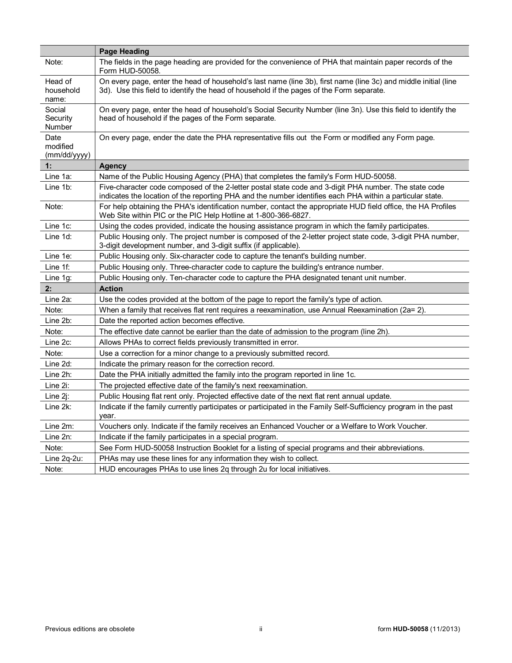|                                  | <b>Page Heading</b>                                                                                                                                                                                                |
|----------------------------------|--------------------------------------------------------------------------------------------------------------------------------------------------------------------------------------------------------------------|
| Note:                            | The fields in the page heading are provided for the convenience of PHA that maintain paper records of the<br>Form HUD-50058.                                                                                       |
| Head of<br>household<br>name:    | On every page, enter the head of household's last name (line 3b), first name (line 3c) and middle initial (line<br>3d). Use this field to identify the head of household if the pages of the Form separate.        |
| Social<br>Security<br>Number     | On every page, enter the head of household's Social Security Number (line 3n). Use this field to identify the<br>head of household if the pages of the Form separate.                                              |
| Date<br>modified<br>(mm/dd/yyyy) | On every page, ender the date the PHA representative fills out the Form or modified any Form page.                                                                                                                 |
| 1:                               | <b>Agency</b>                                                                                                                                                                                                      |
| Line 1a:                         | Name of the Public Housing Agency (PHA) that completes the family's Form HUD-50058.                                                                                                                                |
| Line 1b:                         | Five-character code composed of the 2-letter postal state code and 3-digit PHA number. The state code<br>indicates the location of the reporting PHA and the number identifies each PHA within a particular state. |
| Note:                            | For help obtaining the PHA's identification number, contact the appropriate HUD field office, the HA Profiles<br>Web Site within PIC or the PIC Help Hotline at 1-800-366-6827.                                    |
| Line 1c:                         | Using the codes provided, indicate the housing assistance program in which the family participates.                                                                                                                |
| Line 1d:                         | Public Housing only. The project number is composed of the 2-letter project state code, 3-digit PHA number,<br>3-digit development number, and 3-digit suffix (if applicable).                                     |
| Line 1e:                         | Public Housing only. Six-character code to capture the tenant's building number.                                                                                                                                   |
| Line $1f$ :                      | Public Housing only. Three-character code to capture the building's entrance number.                                                                                                                               |
| Line $1g$ :                      | Public Housing only. Ten-character code to capture the PHA designated tenant unit number.                                                                                                                          |
| 2:                               | <b>Action</b>                                                                                                                                                                                                      |
| Line 2a:                         | Use the codes provided at the bottom of the page to report the family's type of action.                                                                                                                            |
| Note:                            | When a family that receives flat rent requires a reexamination, use Annual Reexamination (2a= 2).                                                                                                                  |
| Line 2b:                         | Date the reported action becomes effective.                                                                                                                                                                        |
| Note:                            | The effective date cannot be earlier than the date of admission to the program (line 2h).                                                                                                                          |
| Line 2c:                         | Allows PHAs to correct fields previously transmitted in error.                                                                                                                                                     |
| Note:                            | Use a correction for a minor change to a previously submitted record.                                                                                                                                              |
| Line 2d:                         | Indicate the primary reason for the correction record.                                                                                                                                                             |
| Line 2h:                         | Date the PHA initially admitted the family into the program reported in line 1c.                                                                                                                                   |
| Line 2i:                         | The projected effective date of the family's next reexamination.                                                                                                                                                   |
| Line $2i$ :                      | Public Housing flat rent only. Projected effective date of the next flat rent annual update.                                                                                                                       |
| Line 2k:                         | Indicate if the family currently participates or participated in the Family Self-Sufficiency program in the past<br>year.                                                                                          |
| Line 2m:                         | Vouchers only. Indicate if the family receives an Enhanced Voucher or a Welfare to Work Voucher.                                                                                                                   |
| Line 2n:                         | Indicate if the family participates in a special program.                                                                                                                                                          |
| Note:                            | See Form HUD-50058 Instruction Booklet for a listing of special programs and their abbreviations.                                                                                                                  |
| Line 2q-2u:                      | PHAs may use these lines for any information they wish to collect.                                                                                                                                                 |
| Note:                            | HUD encourages PHAs to use lines 2q through 2u for local initiatives.                                                                                                                                              |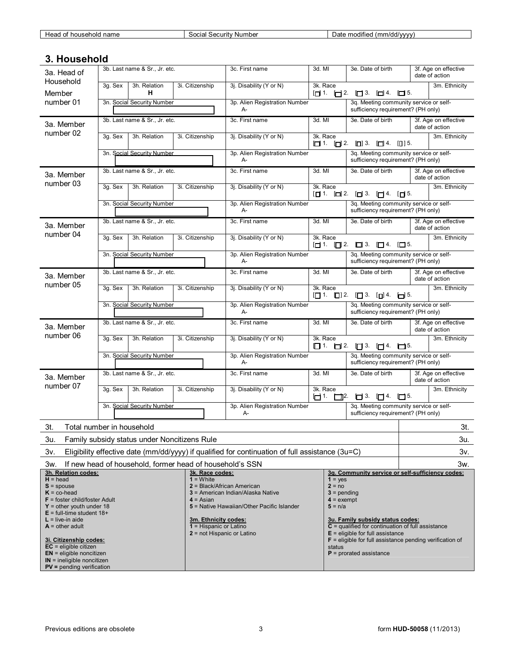| Head<br>' name<br>household<br>ີ | Number<br>. Securit <sup>,</sup><br>$\sim$<br>outid. | $\cdots$<br>(mm/dd/vvvv)<br>modified<br>Date<br>,,,,, |
|----------------------------------|------------------------------------------------------|-------------------------------------------------------|
|                                  |                                                      |                                                       |

## **3. Household**

| 3a. Head of<br>Household                                                                                                                                                                                                                                                                                                                                                                              | 3b. Last name & Sr., Jr. etc.                                                                   |                 | 3c. First name                                                                                                | 3d. MI                                                                                                                                                                                                                                                                                                                           | 3e. Date of birth                                                            | 3f. Age on effective<br>date of action |
|-------------------------------------------------------------------------------------------------------------------------------------------------------------------------------------------------------------------------------------------------------------------------------------------------------------------------------------------------------------------------------------------------------|-------------------------------------------------------------------------------------------------|-----------------|---------------------------------------------------------------------------------------------------------------|----------------------------------------------------------------------------------------------------------------------------------------------------------------------------------------------------------------------------------------------------------------------------------------------------------------------------------|------------------------------------------------------------------------------|----------------------------------------|
| Member                                                                                                                                                                                                                                                                                                                                                                                                | 3g. Sex<br>3h. Relation<br>н                                                                    | 3i. Citizenship | 3j. Disability (Y or N)                                                                                       | 3k. Race                                                                                                                                                                                                                                                                                                                         | $\Box$ 1. $\Box$ 2. $\Box$ 3. $\Box$ 4. $\Box$ 5.                            | 3m. Ethnicity                          |
| number 01                                                                                                                                                                                                                                                                                                                                                                                             | 3n. Social Security Number                                                                      |                 | 3p. Alien Registration Number<br>A-                                                                           |                                                                                                                                                                                                                                                                                                                                  | 3q. Meeting community service or self-<br>sufficiency requirement? (PH only) |                                        |
| 3a. Member                                                                                                                                                                                                                                                                                                                                                                                            | 3b. Last name & Sr., Jr. etc.                                                                   |                 | 3c. First name                                                                                                | 3d. MI                                                                                                                                                                                                                                                                                                                           | 3e. Date of birth                                                            | 3f. Age on effective<br>date of action |
| number 02                                                                                                                                                                                                                                                                                                                                                                                             | 3h. Relation<br>3g. Sex                                                                         | 3i. Citizenship | 3j. Disability (Y or N)                                                                                       | 3k. Race                                                                                                                                                                                                                                                                                                                         | $\Box$ 1. $\Box$ 2. $\Box$ 3. $\Box$ 4. $\Box$ 15.                           | 3m. Ethnicity                          |
|                                                                                                                                                                                                                                                                                                                                                                                                       | 3n. Social Security Number                                                                      |                 | 3p. Alien Registration Number<br>A-                                                                           |                                                                                                                                                                                                                                                                                                                                  | 3q. Meeting community service or self-<br>sufficiency requirement? (PH only) |                                        |
| 3a. Member                                                                                                                                                                                                                                                                                                                                                                                            | 3b. Last name & Sr., Jr. etc.                                                                   |                 | 3c. First name                                                                                                | 3d. MI                                                                                                                                                                                                                                                                                                                           | 3e. Date of birth                                                            | 3f. Age on effective<br>date of action |
| number 03                                                                                                                                                                                                                                                                                                                                                                                             | 3g. Sex<br>3h. Relation                                                                         | 3i. Citizenship | 3j. Disability (Y or N)                                                                                       | 3k. Race                                                                                                                                                                                                                                                                                                                         | $\Box$ 1. $\Box$ 2. $\Box$ 3. $\Box$ 4. $\Box$ 5.                            | 3m. Ethnicity                          |
|                                                                                                                                                                                                                                                                                                                                                                                                       | 3n. Social Security Number                                                                      |                 | 3p. Alien Registration Number<br>A-                                                                           |                                                                                                                                                                                                                                                                                                                                  | 3q. Meeting community service or self-<br>sufficiency requirement? (PH only) |                                        |
| 3a. Member                                                                                                                                                                                                                                                                                                                                                                                            | 3b. Last name & Sr., Jr. etc.                                                                   |                 | 3c. First name                                                                                                | 3d. MI                                                                                                                                                                                                                                                                                                                           | 3e. Date of birth                                                            | 3f. Age on effective<br>date of action |
| number 04                                                                                                                                                                                                                                                                                                                                                                                             | 3g. Sex<br>3h. Relation                                                                         | 3i. Citizenship | 3j. Disability (Y or N)                                                                                       | 3k. Race                                                                                                                                                                                                                                                                                                                         | $\Box$ 1. $\Box$ 2. $\Box$ 3. $\Box$ 4. $\Box$ 5.                            | 3m. Ethnicity                          |
|                                                                                                                                                                                                                                                                                                                                                                                                       | 3n. Social Security Number                                                                      |                 | 3p. Alien Registration Number<br>$A -$                                                                        |                                                                                                                                                                                                                                                                                                                                  | 3q. Meeting community service or self-<br>sufficiency requirement? (PH only) |                                        |
| 3a. Member                                                                                                                                                                                                                                                                                                                                                                                            | 3b. Last name & Sr., Jr. etc.                                                                   |                 | 3c. First name                                                                                                | 3d. MI                                                                                                                                                                                                                                                                                                                           | 3e. Date of birth                                                            | 3f. Age on effective<br>date of action |
| number 05                                                                                                                                                                                                                                                                                                                                                                                             | 3q. Sex<br>3h. Relation<br>3i. Citizenship                                                      |                 | 3j. Disability (Y or N)                                                                                       | 3k. Race                                                                                                                                                                                                                                                                                                                         | 3m. Ethnicity<br>$\Box$ 1. $\Box$ 12. $\Box$ 3. $\Box$ 4. $\Box$ 5.          |                                        |
|                                                                                                                                                                                                                                                                                                                                                                                                       | 3n. Social Security Number                                                                      |                 | 3p. Alien Registration Number<br>A-                                                                           | 3q. Meeting community service or self-<br>sufficiency requirement? (PH only)                                                                                                                                                                                                                                                     |                                                                              |                                        |
| 3a. Member                                                                                                                                                                                                                                                                                                                                                                                            | 3b. Last name & Sr., Jr. etc.                                                                   |                 | 3c. First name                                                                                                | 3d. MI                                                                                                                                                                                                                                                                                                                           | 3e. Date of birth                                                            | 3f. Age on effective<br>date of action |
| number 06                                                                                                                                                                                                                                                                                                                                                                                             | 3h. Relation<br>3i. Citizenship<br>3q. Sex                                                      |                 | 3j. Disability (Y or N)                                                                                       | 3k. Race                                                                                                                                                                                                                                                                                                                         | 3m. Ethnicity<br>$\Box$ 1. $\Box$ 2. $\Box$ 3. $\Box$ 4. $\Box$ 5.           |                                        |
|                                                                                                                                                                                                                                                                                                                                                                                                       | 3n. Social Security Number                                                                      |                 | 3p. Alien Registration Number<br>A-                                                                           |                                                                                                                                                                                                                                                                                                                                  | 3q. Meeting community service or self-<br>sufficiency requirement? (PH only) |                                        |
| 3a. Member                                                                                                                                                                                                                                                                                                                                                                                            | 3b. Last name & Sr., Jr. etc.                                                                   |                 | 3c. First name                                                                                                | 3d. MI                                                                                                                                                                                                                                                                                                                           | 3e. Date of birth                                                            | 3f. Age on effective<br>date of action |
| number 07                                                                                                                                                                                                                                                                                                                                                                                             | 3g. Sex<br>3h. Relation                                                                         | 3i. Citizenship | 3j. Disability (Y or N)                                                                                       | 3k. Race                                                                                                                                                                                                                                                                                                                         | $\Box$ 1. $\Box$ 12. $\Box$ 13. $\Box$ 14. $\Box$ 15.                        | 3m. Ethnicity                          |
|                                                                                                                                                                                                                                                                                                                                                                                                       | 3n. Social Security Number                                                                      |                 | 3p. Alien Registration Number<br>А-                                                                           |                                                                                                                                                                                                                                                                                                                                  | 3q. Meeting community service or self-<br>sufficiency requirement? (PH only) |                                        |
| 3t.                                                                                                                                                                                                                                                                                                                                                                                                   | Total number in household                                                                       |                 |                                                                                                               |                                                                                                                                                                                                                                                                                                                                  |                                                                              | 3t.                                    |
|                                                                                                                                                                                                                                                                                                                                                                                                       |                                                                                                 |                 |                                                                                                               |                                                                                                                                                                                                                                                                                                                                  |                                                                              |                                        |
| 3u.                                                                                                                                                                                                                                                                                                                                                                                                   | Family subsidy status under Noncitizens Rule                                                    |                 |                                                                                                               |                                                                                                                                                                                                                                                                                                                                  |                                                                              | 3u.                                    |
| 3v.                                                                                                                                                                                                                                                                                                                                                                                                   | Eligibility effective date (mm/dd/yyyy) if qualified for continuation of full assistance (3u=C) |                 |                                                                                                               |                                                                                                                                                                                                                                                                                                                                  |                                                                              | 3v.                                    |
| 3w.                                                                                                                                                                                                                                                                                                                                                                                                   | If new head of household, former head of household's SSN                                        |                 |                                                                                                               |                                                                                                                                                                                                                                                                                                                                  |                                                                              | 3w.                                    |
| 3h. Relation codes:<br>3k. Race codes:<br>$H = head$<br>$1 =$ White<br>$S =$ spouse<br>$K = co-head$<br>$F =$ foster child/foster Adult<br>$4 = Asian$<br>$Y =$ other youth under 18<br>$E =$ full-time student 18+<br>$L =$ live-in aide<br>3m. Ethnicity codes:<br>$A = other adult$<br>$1$ = Hispanic or Latino<br>2 = not Hispanic or Latino<br>3i. Citizenship codes:<br>$EC =$ eligible citizen |                                                                                                 |                 | 2 = Black/African American<br>3 = American Indian/Alaska Native<br>5 = Native Hawaiian/Other Pacific Islander | 3q. Community service or self-sufficiency codes:<br>$1 = yes$<br>$2 = no$<br>$3 =$ pending<br>$4 =$ exempt<br>$5 = n/a$<br>3u. Family subsidy status codes:<br>$C$ = qualified for continuation of full assistance<br>$E =$ eligible for full assistance<br>$F =$ eligible for full assistance pending verification of<br>status |                                                                              |                                        |
| $EN =$ eligible noncitizen<br>$IN =$ ineligible noncitizen<br>$PV =$ pending verification                                                                                                                                                                                                                                                                                                             |                                                                                                 |                 |                                                                                                               | $P =$ prorated assistance                                                                                                                                                                                                                                                                                                        |                                                                              |                                        |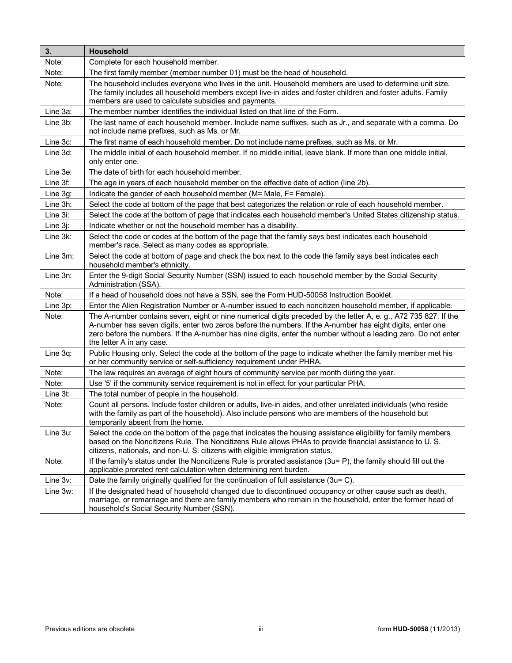| 3.          | Household                                                                                                                                                                                                                                                                                                                                                                      |
|-------------|--------------------------------------------------------------------------------------------------------------------------------------------------------------------------------------------------------------------------------------------------------------------------------------------------------------------------------------------------------------------------------|
| Note:       | Complete for each household member.                                                                                                                                                                                                                                                                                                                                            |
| Note:       | The first family member (member number 01) must be the head of household.                                                                                                                                                                                                                                                                                                      |
| Note:       | The household includes everyone who lives in the unit. Household members are used to determine unit size.<br>The family includes all household members except live-in aides and foster children and foster adults. Family<br>members are used to calculate subsidies and payments.                                                                                             |
| Line 3a:    | The member number identifies the individual listed on that line of the Form.                                                                                                                                                                                                                                                                                                   |
| Line 3b:    | The last name of each household member. Include name suffixes, such as Jr., and separate with a comma. Do<br>not include name prefixes, such as Ms. or Mr.                                                                                                                                                                                                                     |
| Line 3c:    | The first name of each household member. Do not include name prefixes, such as Ms. or Mr.                                                                                                                                                                                                                                                                                      |
| Line 3d:    | The middle initial of each household member. If no middle initial, leave blank. If more than one middle initial,<br>only enter one.                                                                                                                                                                                                                                            |
| Line 3e:    | The date of birth for each household member.                                                                                                                                                                                                                                                                                                                                   |
| Line 3f:    | The age in years of each household member on the effective date of action (line 2b).                                                                                                                                                                                                                                                                                           |
| Line 3g:    | Indicate the gender of each household member (M= Male, F= Female).                                                                                                                                                                                                                                                                                                             |
| Line 3h:    | Select the code at bottom of the page that best categorizes the relation or role of each household member.                                                                                                                                                                                                                                                                     |
| Line 3i:    | Select the code at the bottom of page that indicates each household member's United States citizenship status.                                                                                                                                                                                                                                                                 |
| Line $3i$ : | Indicate whether or not the household member has a disability.                                                                                                                                                                                                                                                                                                                 |
| Line 3k:    | Select the code or codes at the bottom of the page that the family says best indicates each household<br>member's race. Select as many codes as appropriate.                                                                                                                                                                                                                   |
| Line 3m:    | Select the code at bottom of page and check the box next to the code the family says best indicates each<br>household member's ethnicity.                                                                                                                                                                                                                                      |
| Line 3n:    | Enter the 9-digit Social Security Number (SSN) issued to each household member by the Social Security<br>Administration (SSA).                                                                                                                                                                                                                                                 |
| Note:       | If a head of household does not have a SSN, see the Form HUD-50058 Instruction Booklet.                                                                                                                                                                                                                                                                                        |
| Line 3p:    | Enter the Alien Registration Number or A-number issued to each noncitizen household member, if applicable.                                                                                                                                                                                                                                                                     |
| Note:       | The A-number contains seven, eight or nine numerical digits preceded by the letter A, e. g., A72 735 827. If the<br>A-number has seven digits, enter two zeros before the numbers. If the A-number has eight digits, enter one<br>zero before the numbers. If the A-number has nine digits, enter the number without a leading zero. Do not enter<br>the letter A in any case. |
| Line 3q:    | Public Housing only. Select the code at the bottom of the page to indicate whether the family member met his<br>or her community service or self-sufficiency requirement under PHRA.                                                                                                                                                                                           |
| Note:       | The law requires an average of eight hours of community service per month during the year.                                                                                                                                                                                                                                                                                     |
| Note:       | Use '5' if the community service requirement is not in effect for your particular PHA.                                                                                                                                                                                                                                                                                         |
| Line 3t:    | The total number of people in the household.                                                                                                                                                                                                                                                                                                                                   |
| Note:       | Count all persons. Include foster children or adults, live-in aides, and other unrelated individuals (who reside<br>with the family as part of the household). Also include persons who are members of the household but<br>temporarily absent from the home.                                                                                                                  |
| Line 3u:    | Select the code on the bottom of the page that indicates the housing assistance eligibility for family members<br>based on the Noncitizens Rule. The Noncitizens Rule allows PHAs to provide financial assistance to U.S.<br>citizens, nationals, and non-U. S. citizens with eligible immigration status.                                                                     |
| Note:       | If the family's status under the Noncitizens Rule is prorated assistance (3u= P), the family should fill out the<br>applicable prorated rent calculation when determining rent burden.                                                                                                                                                                                         |
| Line 3v:    | Date the family originally qualified for the continuation of full assistance (3u= C).                                                                                                                                                                                                                                                                                          |
| Line 3w:    | If the designated head of household changed due to discontinued occupancy or other cause such as death,<br>marriage, or remarriage and there are family members who remain in the household, enter the former head of<br>household's Social Security Number (SSN).                                                                                                             |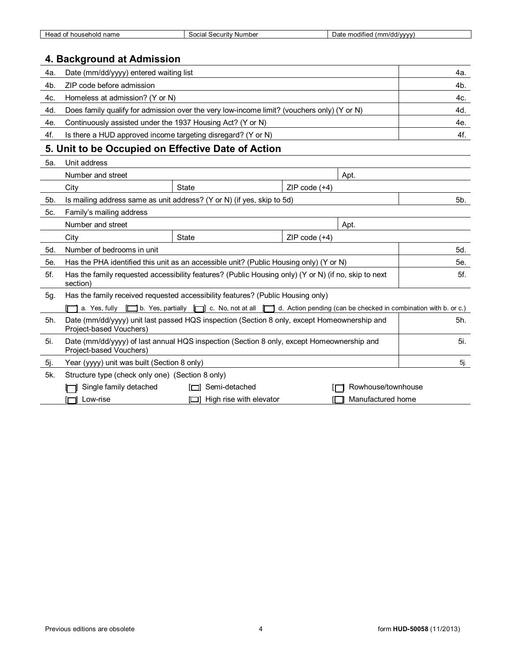| name<br>$\sim$<br>10 <sup>0</sup><br>неа<br>nousehold | Number<br>security "<br>$\sim$<br>30Grafi | $\cdots$<br>uwww.hdr<br>. modifier<br>$\overline{1}$ |
|-------------------------------------------------------|-------------------------------------------|------------------------------------------------------|
|                                                       |                                           |                                                      |

## **4. Background at Admission**

| Date (mm/dd/yyyy) entered waiting list                                                     | 4a. |
|--------------------------------------------------------------------------------------------|-----|
| ZIP code before admission                                                                  | 4b. |
| Homeless at admission? (Y or N)                                                            | 4c. |
| Does family qualify for admission over the very low-income limit? (vouchers only) (Y or N) | 4d. |
| Continuously assisted under the 1937 Housing Act? (Y or N)                                 | 4e. |
| Is there a HUD approved income targeting disregard? (Y or N)                               | 4f. |
|                                                                                            |     |

## **5. Unit to be Occupied on Effective Date of Action**

| 5a. | Unit address                                                                                                                |                                                                                                                                |                 |                    |     |  |
|-----|-----------------------------------------------------------------------------------------------------------------------------|--------------------------------------------------------------------------------------------------------------------------------|-----------------|--------------------|-----|--|
|     | Number and street                                                                                                           |                                                                                                                                |                 | Apt.               |     |  |
|     | City                                                                                                                        | State                                                                                                                          | ZIP code $(+4)$ |                    |     |  |
| 5b. |                                                                                                                             | Is mailing address same as unit address? (Y or N) (if yes, skip to 5d)                                                         |                 |                    | 5b. |  |
| 5c. | Family's mailing address                                                                                                    |                                                                                                                                |                 |                    |     |  |
|     | Number and street                                                                                                           |                                                                                                                                |                 | Apt.               |     |  |
|     | City                                                                                                                        | State                                                                                                                          | ZIP code $(+4)$ |                    |     |  |
| 5d. | Number of bedrooms in unit                                                                                                  |                                                                                                                                |                 |                    | 5d. |  |
| 5e. |                                                                                                                             | Has the PHA identified this unit as an accessible unit? (Public Housing only) (Y or N)                                         |                 |                    | 5е. |  |
| 5f. | section)                                                                                                                    | Has the family requested accessibility features? (Public Housing only) (Y or N) (if no, skip to next                           |                 |                    | 5f. |  |
| 5g. | Has the family received requested accessibility features? (Public Housing only)                                             |                                                                                                                                |                 |                    |     |  |
|     |                                                                                                                             | a. Yes, fully [i] b. Yes, partially [ii] c. No, not at all iii d. Action pending (can be checked in combination with b. or c.) |                 |                    |     |  |
| 5h. | Date (mm/dd/yyyy) unit last passed HQS inspection (Section 8 only, except Homeownership and<br>Project-based Vouchers)      |                                                                                                                                |                 |                    |     |  |
| 5i. | 5i.<br>Date (mm/dd/yyyy) of last annual HQS inspection (Section 8 only, except Homeownership and<br>Project-based Vouchers) |                                                                                                                                |                 |                    |     |  |
| 5j. | Year (yyyy) unit was built (Section 8 only)                                                                                 |                                                                                                                                |                 |                    | 5j. |  |
| 5k. | Structure type (check only one) (Section 8 only)                                                                            |                                                                                                                                |                 |                    |     |  |
|     | Single family detached                                                                                                      | [□] Semi-detached                                                                                                              |                 | Rowhouse/townhouse |     |  |
|     | Manufactured home<br>High rise with elevator<br>Low-rise                                                                    |                                                                                                                                |                 |                    |     |  |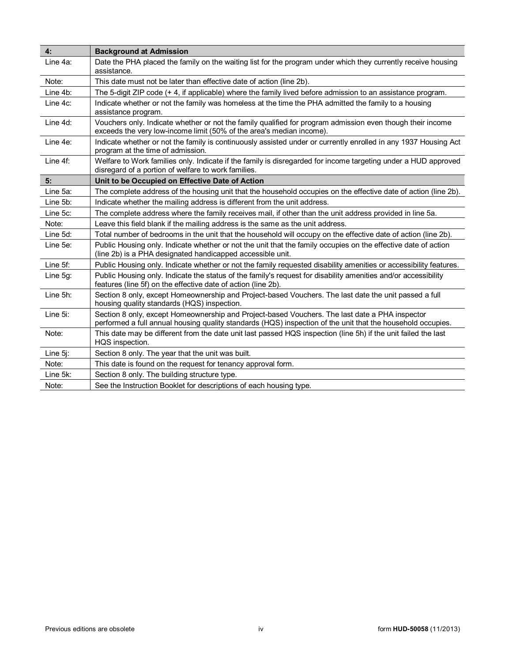| 4:          | <b>Background at Admission</b>                                                                                                                                                                                |
|-------------|---------------------------------------------------------------------------------------------------------------------------------------------------------------------------------------------------------------|
| Line 4a:    | Date the PHA placed the family on the waiting list for the program under which they currently receive housing<br>assistance.                                                                                  |
| Note:       | This date must not be later than effective date of action (line 2b).                                                                                                                                          |
| Line 4b:    | The 5-digit ZIP code (+4, if applicable) where the family lived before admission to an assistance program.                                                                                                    |
| Line 4c:    | Indicate whether or not the family was homeless at the time the PHA admitted the family to a housing<br>assistance program.                                                                                   |
| Line 4d:    | Vouchers only. Indicate whether or not the family qualified for program admission even though their income<br>exceeds the very low-income limit (50% of the area's median income).                            |
| Line 4e:    | Indicate whether or not the family is continuously assisted under or currently enrolled in any 1937 Housing Act<br>program at the time of admission.                                                          |
| Line $4f$ : | Welfare to Work families only. Indicate if the family is disregarded for income targeting under a HUD approved<br>disregard of a portion of welfare to work families.                                         |
| 5:          | Unit to be Occupied on Effective Date of Action                                                                                                                                                               |
| Line 5a:    | The complete address of the housing unit that the household occupies on the effective date of action (line 2b).                                                                                               |
| Line 5b:    | Indicate whether the mailing address is different from the unit address.                                                                                                                                      |
| Line 5c:    | The complete address where the family receives mail, if other than the unit address provided in line 5a.                                                                                                      |
| Note:       | Leave this field blank if the mailing address is the same as the unit address.                                                                                                                                |
| Line 5d:    | Total number of bedrooms in the unit that the household will occupy on the effective date of action (line 2b).                                                                                                |
| Line 5e:    | Public Housing only. Indicate whether or not the unit that the family occupies on the effective date of action<br>(line 2b) is a PHA designated handicapped accessible unit.                                  |
| Line 5f:    | Public Housing only. Indicate whether or not the family requested disability amenities or accessibility features.                                                                                             |
| Line 5g:    | Public Housing only. Indicate the status of the family's request for disability amenities and/or accessibility<br>features (line 5f) on the effective date of action (line 2b).                               |
| Line 5h:    | Section 8 only, except Homeownership and Project-based Vouchers. The last date the unit passed a full<br>housing quality standards (HQS) inspection.                                                          |
| Line 5i:    | Section 8 only, except Homeownership and Project-based Vouchers. The last date a PHA inspector<br>performed a full annual housing quality standards (HQS) inspection of the unit that the household occupies. |
| Note:       | This date may be different from the date unit last passed HQS inspection (line 5h) if the unit failed the last<br>HQS inspection.                                                                             |
| Line $5$ j: | Section 8 only. The year that the unit was built.                                                                                                                                                             |
| Note:       | This date is found on the request for tenancy approval form.                                                                                                                                                  |
| Line 5k:    | Section 8 only. The building structure type.                                                                                                                                                                  |
| Note:       | See the Instruction Booklet for descriptions of each housing type.                                                                                                                                            |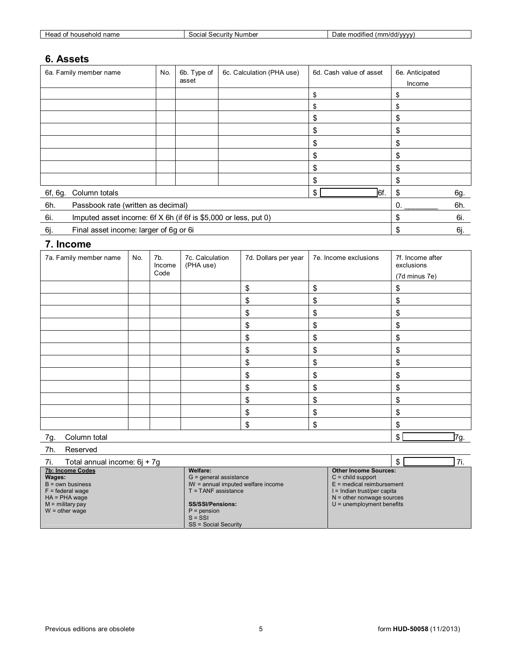| hold<br>houser<br>неао<br>name<br>v | Number<br>Security<br>$\sim$<br>ا م امد | $\mathcal{M}$ $\mathcal{M}$ $\mathcal{M}$<br>moaifie<br>Jdli<br>. |
|-------------------------------------|-----------------------------------------|-------------------------------------------------------------------|
|                                     |                                         |                                                                   |

## **6. Assets**

|         | 6a. Family member name                                          | No. | 6b. Type of | 6c. Calculation (PHA use) | 6d. Cash value of asset | 6e. Anticipated |     |
|---------|-----------------------------------------------------------------|-----|-------------|---------------------------|-------------------------|-----------------|-----|
|         |                                                                 |     | asset       |                           |                         | Income          |     |
|         |                                                                 |     |             |                           | S                       | \$              |     |
|         |                                                                 |     |             |                           |                         |                 |     |
|         |                                                                 |     |             |                           | S                       | \$              |     |
|         |                                                                 |     |             |                           | S                       | \$              |     |
|         |                                                                 |     |             |                           | S                       | \$              |     |
|         |                                                                 |     |             |                           |                         | \$              |     |
|         |                                                                 |     |             |                           | S                       | \$              |     |
|         |                                                                 |     |             |                           | \$                      | \$              |     |
| 6f, 6g. | Column totals                                                   |     |             |                           | l6f.<br>\$              | \$              | 6g. |
| 6h.     | Passbook rate (written as decimal)                              |     |             |                           |                         |                 |     |
| 6i.     | Imputed asset income: 6f X 6h (if 6f is \$5,000 or less, put 0) |     |             |                           |                         |                 |     |
| 6j.     | Final asset income: larger of 6g or 6i                          |     |             |                           |                         | \$              | 6j. |

## **7. Income**

| 7a. Family member name | No. | 7b.<br>Income<br>Code | 7c. Calculation<br>(PHA use) | 7d. Dollars per year | 7e. Income exclusions | 7f. Income after<br>exclusions<br>(7d minus 7e) |
|------------------------|-----|-----------------------|------------------------------|----------------------|-----------------------|-------------------------------------------------|
|                        |     |                       |                              |                      |                       |                                                 |
|                        |     |                       |                              | \$                   | \$                    | \$                                              |
|                        |     |                       |                              | \$                   | \$                    | \$                                              |
|                        |     |                       |                              | \$                   | \$                    | \$                                              |
|                        |     |                       |                              | \$                   | \$                    | \$                                              |
|                        |     |                       |                              | \$                   | \$                    | \$                                              |
|                        |     |                       |                              | \$                   | \$                    | \$                                              |
|                        |     |                       |                              | \$                   | \$                    | \$                                              |
|                        |     |                       |                              | \$                   | \$                    | \$                                              |
|                        |     |                       |                              | \$                   | \$                    | \$                                              |
|                        |     |                       |                              | \$                   | \$                    | \$                                              |
|                        |     |                       |                              | \$                   | \$                    | \$                                              |
|                        |     |                       |                              | \$                   | \$                    | \$                                              |
| Column total<br>7g.    |     |                       |                              |                      |                       | 7g.<br>$\left  \frac{1}{2} \right $             |

#### 7h. Reserved

| Total annual income: 6j + 7g<br>-7i. |                                    | ٠D                            |
|--------------------------------------|------------------------------------|-------------------------------|
| 7b: Income Codes                     | Welfare:                           | <b>Other Income Sources:</b>  |
| Wages:                               | $G =$ general assistance           | $C =$ child support           |
| $B = own business$                   | IW = annual imputed welfare income | $E$ = medical reimbursement   |
| $F =$ federal wage                   | T = TANF assistance                | $l = Indian trust/per capita$ |
| $HA = PHA wage$                      |                                    | $N =$ other nonwage sources   |
| $M =$ military pay                   | <b>SS/SSI/Pensions:</b>            | $U =$ unemployment benefits   |
| $W =$ other wage                     | $P = p$ ension                     |                               |
|                                      | $S = SSI$                          |                               |
|                                      | <b>SS = Social Security</b>        |                               |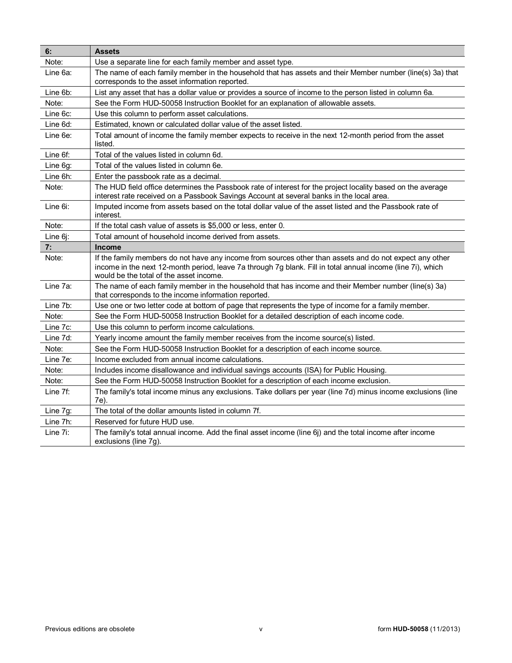| 6:       | <b>Assets</b>                                                                                                                                                                                                                                                     |
|----------|-------------------------------------------------------------------------------------------------------------------------------------------------------------------------------------------------------------------------------------------------------------------|
| Note:    | Use a separate line for each family member and asset type.                                                                                                                                                                                                        |
| Line 6a: | The name of each family member in the household that has assets and their Member number (line(s) 3a) that<br>corresponds to the asset information reported.                                                                                                       |
| Line 6b: | List any asset that has a dollar value or provides a source of income to the person listed in column 6a.                                                                                                                                                          |
| Note:    | See the Form HUD-50058 Instruction Booklet for an explanation of allowable assets.                                                                                                                                                                                |
| Line 6c: | Use this column to perform asset calculations.                                                                                                                                                                                                                    |
| Line 6d: | Estimated, known or calculated dollar value of the asset listed.                                                                                                                                                                                                  |
| Line 6e: | Total amount of income the family member expects to receive in the next 12-month period from the asset<br>listed.                                                                                                                                                 |
| Line 6f: | Total of the values listed in column 6d.                                                                                                                                                                                                                          |
| Line 6g: | Total of the values listed in column 6e.                                                                                                                                                                                                                          |
| Line 6h: | Enter the passbook rate as a decimal.                                                                                                                                                                                                                             |
| Note:    | The HUD field office determines the Passbook rate of interest for the project locality based on the average<br>interest rate received on a Passbook Savings Account at several banks in the local area.                                                           |
| Line 6i: | Imputed income from assets based on the total dollar value of the asset listed and the Passbook rate of<br>interest.                                                                                                                                              |
| Note:    | If the total cash value of assets is \$5,000 or less, enter 0.                                                                                                                                                                                                    |
| Line 6j: | Total amount of household income derived from assets.                                                                                                                                                                                                             |
| 7:       | Income                                                                                                                                                                                                                                                            |
| Note:    | If the family members do not have any income from sources other than assets and do not expect any other<br>income in the next 12-month period, leave 7a through 7g blank. Fill in total annual income (line 7i), which<br>would be the total of the asset income. |
| Line 7a: | The name of each family member in the household that has income and their Member number (line(s) 3a)<br>that corresponds to the income information reported.                                                                                                      |
| Line 7b: | Use one or two letter code at bottom of page that represents the type of income for a family member.                                                                                                                                                              |
| Note:    | See the Form HUD-50058 Instruction Booklet for a detailed description of each income code.                                                                                                                                                                        |
| Line 7c: | Use this column to perform income calculations.                                                                                                                                                                                                                   |
| Line 7d: | Yearly income amount the family member receives from the income source(s) listed.                                                                                                                                                                                 |
| Note:    | See the Form HUD-50058 Instruction Booklet for a description of each income source.                                                                                                                                                                               |
| Line 7e: | Income excluded from annual income calculations.                                                                                                                                                                                                                  |
| Note:    | Includes income disallowance and individual savings accounts (ISA) for Public Housing.                                                                                                                                                                            |
| Note:    | See the Form HUD-50058 Instruction Booklet for a description of each income exclusion.                                                                                                                                                                            |
| Line 7f: | The family's total income minus any exclusions. Take dollars per year (line 7d) minus income exclusions (line<br>7e).                                                                                                                                             |
| Line 7g: | The total of the dollar amounts listed in column 7f.                                                                                                                                                                                                              |
| Line 7h: | Reserved for future HUD use.                                                                                                                                                                                                                                      |
| Line 7i: | The family's total annual income. Add the final asset income (line 6j) and the total income after income<br>exclusions (line 7g).                                                                                                                                 |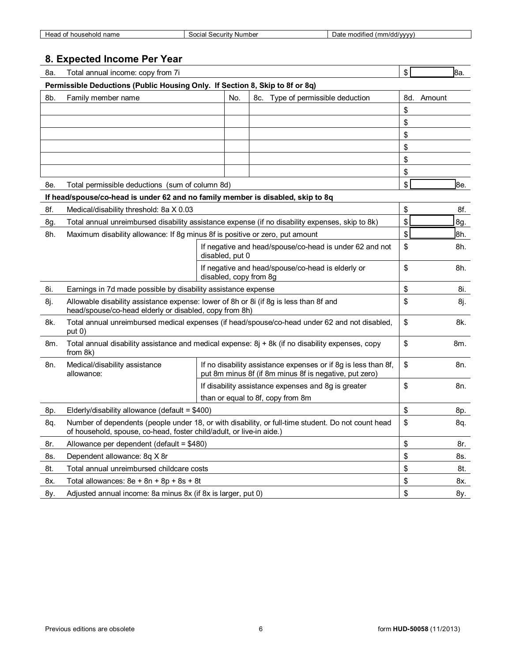| name<br>אוסו<br>. . | mber<br>curit<br>$\sim$<br>Nur<br>$\sim$<br>$-20$<br>. . | .<br>hodified<br><b>HAAAA</b><br>.07<br>$\overline{a}$<br>, , , , |
|---------------------|----------------------------------------------------------|-------------------------------------------------------------------|
|                     |                                                          |                                                                   |

## **8. Expected Income Per Year**

| 8a. | Total annual income: copy from 7i                                                                                                                                          |                        |  |                                                                                                                          |    | \$  |            | 8а. |
|-----|----------------------------------------------------------------------------------------------------------------------------------------------------------------------------|------------------------|--|--------------------------------------------------------------------------------------------------------------------------|----|-----|------------|-----|
|     | Permissible Deductions (Public Housing Only. If Section 8, Skip to 8f or 8q)                                                                                               |                        |  |                                                                                                                          |    |     |            |     |
| 8b. | Family member name                                                                                                                                                         | No.                    |  | 8c. Type of permissible deduction                                                                                        |    |     | 8d. Amount |     |
|     |                                                                                                                                                                            |                        |  |                                                                                                                          |    | \$  |            |     |
|     |                                                                                                                                                                            |                        |  |                                                                                                                          |    | \$  |            |     |
|     |                                                                                                                                                                            |                        |  |                                                                                                                          |    | \$  |            |     |
|     |                                                                                                                                                                            |                        |  |                                                                                                                          |    | \$  |            |     |
|     |                                                                                                                                                                            |                        |  |                                                                                                                          |    | \$  |            |     |
|     |                                                                                                                                                                            |                        |  |                                                                                                                          |    | \$  |            |     |
| 8e. | Total permissible deductions (sum of column 8d)                                                                                                                            |                        |  |                                                                                                                          |    | \$  |            | 8e. |
|     | If head/spouse/co-head is under 62 and no family member is disabled, skip to 8q                                                                                            |                        |  |                                                                                                                          |    |     |            |     |
| 8f. | Medical/disability threshold: 8a X 0.03                                                                                                                                    |                        |  |                                                                                                                          |    | \$  |            | 8f. |
| 8g. | Total annual unreimbursed disability assistance expense (if no disability expenses, skip to 8k)                                                                            |                        |  |                                                                                                                          |    | \$  |            | 8g. |
| 8h. | Maximum disability allowance: If 8g minus 8f is positive or zero, put amount                                                                                               |                        |  |                                                                                                                          |    | \$  |            | 8h. |
|     |                                                                                                                                                                            | disabled, put 0        |  | If negative and head/spouse/co-head is under 62 and not                                                                  |    | \$  |            | 8h. |
|     |                                                                                                                                                                            | disabled, copy from 8g |  | If negative and head/spouse/co-head is elderly or                                                                        |    | \$  |            | 8h. |
| 8i. | Earnings in 7d made possible by disability assistance expense                                                                                                              |                        |  |                                                                                                                          |    | \$  |            | 8i. |
| 8j. | Allowable disability assistance expense: lower of 8h or 8i (if 8g is less than 8f and<br>head/spouse/co-head elderly or disabled, copy from 8h)                            |                        |  |                                                                                                                          |    | \$  |            | 8j. |
| 8k. | Total annual unreimbursed medical expenses (if head/spouse/co-head under 62 and not disabled,<br>put 0)                                                                    |                        |  |                                                                                                                          |    | \$  |            | 8k. |
| 8m. | Total annual disability assistance and medical expense: $8j + 8k$ (if no disability expenses, copy<br>from 8k)                                                             |                        |  |                                                                                                                          |    | \$  |            | 8m. |
| 8n. | Medical/disability assistance<br>allowance:                                                                                                                                |                        |  | If no disability assistance expenses or if 8g is less than 8f,<br>put 8m minus 8f (if 8m minus 8f is negative, put zero) |    | \$  |            | 8n. |
|     |                                                                                                                                                                            |                        |  | If disability assistance expenses and 8g is greater                                                                      |    | \$  |            | 8n. |
|     |                                                                                                                                                                            |                        |  | than or equal to 8f, copy from 8m                                                                                        |    |     |            |     |
| 8p. | Elderly/disability allowance (default = \$400)                                                                                                                             |                        |  |                                                                                                                          |    | \$  |            | 8p. |
| 8q. | Number of dependents (people under 18, or with disability, or full-time student. Do not count head<br>of household, spouse, co-head, foster child/adult, or live-in aide.) |                        |  |                                                                                                                          |    | \$  |            | 8q. |
| 8r. | Allowance per dependent (default = \$480)                                                                                                                                  |                        |  |                                                                                                                          |    | \$  |            | 8r. |
| 8s. | Dependent allowance: 8q X 8r                                                                                                                                               |                        |  |                                                                                                                          |    | \$  |            | 8s. |
| 8t. | Total annual unreimbursed childcare costs                                                                                                                                  |                        |  |                                                                                                                          |    | \$  |            | 8t. |
| 8x. | Total allowances: $8e + 8n + 8p + 8s + 8t$                                                                                                                                 |                        |  |                                                                                                                          | \$ |     | 8x.        |     |
| 8y. | Adjusted annual income: 8a minus 8x (if 8x is larger, put 0)                                                                                                               |                        |  | \$                                                                                                                       |    | 8y. |            |     |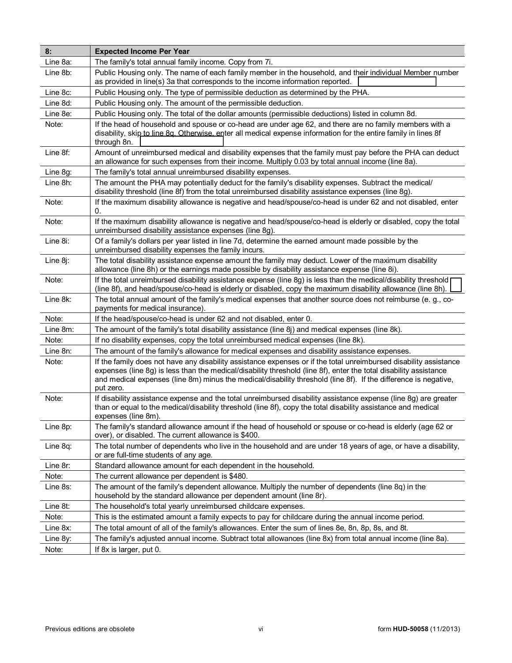| 8:       | <b>Expected Income Per Year</b>                                                                                                                                                                                                                                                                                                                                        |
|----------|------------------------------------------------------------------------------------------------------------------------------------------------------------------------------------------------------------------------------------------------------------------------------------------------------------------------------------------------------------------------|
| Line 8a: | The family's total annual family income. Copy from 7i.                                                                                                                                                                                                                                                                                                                 |
| Line 8b: | Public Housing only. The name of each family member in the household, and their individual Member number<br>as provided in line(s) 3a that corresponds to the income information reported.                                                                                                                                                                             |
| Line 8c: | Public Housing only. The type of permissible deduction as determined by the PHA.                                                                                                                                                                                                                                                                                       |
| Line 8d: | Public Housing only. The amount of the permissible deduction.                                                                                                                                                                                                                                                                                                          |
| Line 8e: | Public Housing only. The total of the dollar amounts (permissible deductions) listed in column 8d.                                                                                                                                                                                                                                                                     |
| Note:    | If the head of household and spouse or co-head are under age 62, and there are no family members with a<br>disability, skip to line 8q. Otherwise, enter all medical expense information for the entire family in lines 8f<br>through 8n.                                                                                                                              |
| Line 8f: | Amount of unreimbursed medical and disability expenses that the family must pay before the PHA can deduct<br>an allowance for such expenses from their income. Multiply 0.03 by total annual income (line 8a).                                                                                                                                                         |
| Line 8g: | The family's total annual unreimbursed disability expenses.                                                                                                                                                                                                                                                                                                            |
| Line 8h: | The amount the PHA may potentially deduct for the family's disability expenses. Subtract the medical/<br>disability threshold (line 8f) from the total unreimbursed disability assistance expenses (line 8g).                                                                                                                                                          |
| Note:    | If the maximum disability allowance is negative and head/spouse/co-head is under 62 and not disabled, enter<br>0.                                                                                                                                                                                                                                                      |
| Note:    | If the maximum disability allowance is negative and head/spouse/co-head is elderly or disabled, copy the total<br>unreimbursed disability assistance expenses (line 8g).                                                                                                                                                                                               |
| Line 8i: | Of a family's dollars per year listed in line 7d, determine the earned amount made possible by the<br>unreimbursed disability expenses the family incurs.                                                                                                                                                                                                              |
| Line 8j: | The total disability assistance expense amount the family may deduct. Lower of the maximum disability<br>allowance (line 8h) or the earnings made possible by disability assistance expense (line 8i).                                                                                                                                                                 |
| Note:    | If the total unreimbursed disability assistance expense (line 8g) is less than the medical/disability threshold [<br>(line 8f), and head/spouse/co-head is elderly or disabled, copy the maximum disability allowance (line 8h).                                                                                                                                       |
| Line 8k: | The total annual amount of the family's medical expenses that another source does not reimburse (e. g., co-<br>payments for medical insurance).                                                                                                                                                                                                                        |
| Note:    | If the head/spouse/co-head is under 62 and not disabled, enter 0.                                                                                                                                                                                                                                                                                                      |
| Line 8m: | The amount of the family's total disability assistance (line 8j) and medical expenses (line 8k).                                                                                                                                                                                                                                                                       |
| Note:    | If no disability expenses, copy the total unreimbursed medical expenses (line 8k).                                                                                                                                                                                                                                                                                     |
| Line 8n: | The amount of the family's allowance for medical expenses and disability assistance expenses.                                                                                                                                                                                                                                                                          |
| Note:    | If the family does not have any disability assistance expenses or if the total unreimbursed disability assistance<br>expenses (line 8g) is less than the medical/disability threshold (line 8f), enter the total disability assistance<br>and medical expenses (line 8m) minus the medical/disability threshold (line 8f). If the difference is negative,<br>put zero. |
| Note:    | If disability assistance expense and the total unreimbursed disability assistance expense (line 8g) are greater<br>than or equal to the medical/disability threshold (line 8f), copy the total disability assistance and medical<br>expenses (line 8m).                                                                                                                |
| Line 8p: | The family's standard allowance amount if the head of household or spouse or co-head is elderly (age 62 or<br>over), or disabled. The current allowance is \$400.                                                                                                                                                                                                      |
| Line 8q: | The total number of dependents who live in the household and are under 18 years of age, or have a disability,<br>or are full-time students of any age.                                                                                                                                                                                                                 |
| Line 8r: | Standard allowance amount for each dependent in the household.                                                                                                                                                                                                                                                                                                         |
| Note:    | The current allowance per dependent is \$480.                                                                                                                                                                                                                                                                                                                          |
| Line 8s: | The amount of the family's dependent allowance. Multiply the number of dependents (line 8q) in the<br>household by the standard allowance per dependent amount (line 8r).                                                                                                                                                                                              |
| Line 8t: | The household's total yearly unreimbursed childcare expenses.                                                                                                                                                                                                                                                                                                          |
| Note:    | This is the estimated amount a family expects to pay for childcare during the annual income period.                                                                                                                                                                                                                                                                    |
| Line 8x: | The total amount of all of the family's allowances. Enter the sum of lines 8e, 8n, 8p, 8s, and 8t.                                                                                                                                                                                                                                                                     |
| Line 8y: | The family's adjusted annual income. Subtract total allowances (line 8x) from total annual income (line 8a).                                                                                                                                                                                                                                                           |
| Note:    | If 8x is larger, put 0.                                                                                                                                                                                                                                                                                                                                                |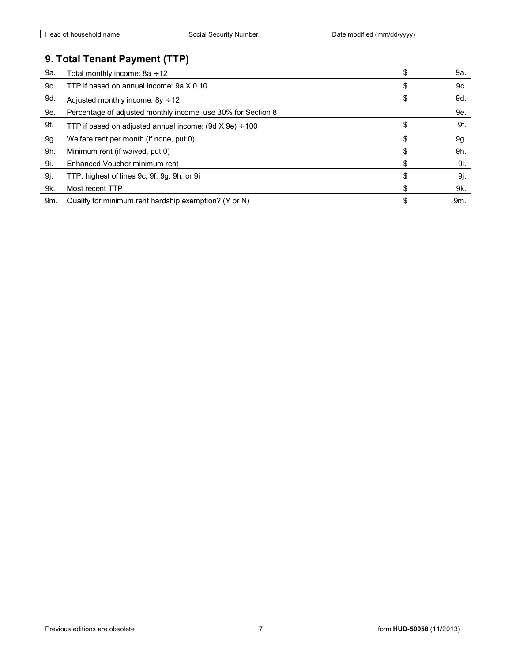| ' name<br>hold<br>$\sim$<br>Heau<br>nouser<br>ີ | Numbe <sup>,</sup><br>.001101<br>$\sim$<br>secum | <br>(mm/dd/vvvv)<br>modifie<br>) até<br>,,,, |
|-------------------------------------------------|--------------------------------------------------|----------------------------------------------|
|                                                 |                                                  |                                              |

## **9. Total Tenant Payment (TTP)**

| 9a. | Total monthly income: 8a ÷ 12                                     | \$<br>9a. |
|-----|-------------------------------------------------------------------|-----------|
| 9c. | TTP if based on annual income: 9a X 0.10                          | \$<br>9c. |
| 9d. | Adjusted monthly income: $8y \div 12$                             | \$<br>9d. |
| 9e. | Percentage of adjusted monthly income: use 30% for Section 8      | 9e.       |
| 9f. | TTP if based on adjusted annual income: $(9d \times 9e) \div 100$ | \$<br>9f. |
| 9g. | Welfare rent per month (if none, put 0)                           | \$<br>9g. |
| 9h. | Minimum rent (if waived, put 0)                                   | 9h.       |
| 9i. | Enhanced Voucher minimum rent                                     | \$<br>9i. |
| 9j. | TTP, highest of lines 9c, 9f, 9g, 9h, or 9i                       | \$<br>9j. |
| 9k. | Most recent TTP                                                   | 9k.       |
| 9m. | Qualify for minimum rent hardship exemption? (Y or N)             | 9m.       |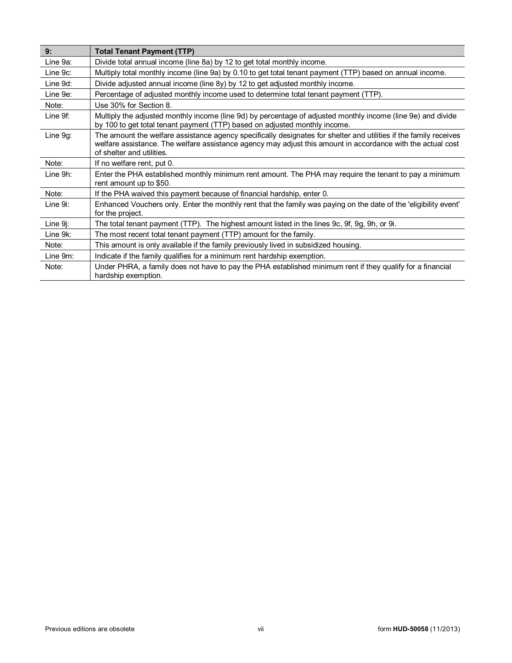| 9:       | <b>Total Tenant Payment (TTP)</b>                                                                                                                                                                                                                             |
|----------|---------------------------------------------------------------------------------------------------------------------------------------------------------------------------------------------------------------------------------------------------------------|
| Line 9a: | Divide total annual income (line 8a) by 12 to get total monthly income.                                                                                                                                                                                       |
| Line 9c: | Multiply total monthly income (line 9a) by 0.10 to get total tenant payment (TTP) based on annual income.                                                                                                                                                     |
| Line 9d: | Divide adjusted annual income (line 8y) by 12 to get adjusted monthly income.                                                                                                                                                                                 |
| Line 9e: | Percentage of adjusted monthly income used to determine total tenant payment (TTP).                                                                                                                                                                           |
| Note:    | Use 30% for Section 8.                                                                                                                                                                                                                                        |
| Line 9f: | Multiply the adjusted monthly income (line 9d) by percentage of adjusted monthly income (line 9e) and divide<br>by 100 to get total tenant payment (TTP) based on adjusted monthly income.                                                                    |
| Line 9g: | The amount the welfare assistance agency specifically designates for shelter and utilities if the family receives<br>welfare assistance. The welfare assistance agency may adjust this amount in accordance with the actual cost<br>of shelter and utilities. |
| Note:    | If no welfare rent, put 0.                                                                                                                                                                                                                                    |
| Line 9h: | Enter the PHA established monthly minimum rent amount. The PHA may require the tenant to pay a minimum<br>rent amount up to \$50.                                                                                                                             |
| Note:    | If the PHA waived this payment because of financial hardship, enter 0.                                                                                                                                                                                        |
| Line 9i: | Enhanced Vouchers only. Enter the monthly rent that the family was paying on the date of the 'eligibility event'<br>for the project.                                                                                                                          |
| Line 9j: | The total tenant payment (TTP). The highest amount listed in the lines 9c, 9f, 9g, 9h, or 9i.                                                                                                                                                                 |
| Line 9k: | The most recent total tenant payment (TTP) amount for the family.                                                                                                                                                                                             |
| Note:    | This amount is only available if the family previously lived in subsidized housing.                                                                                                                                                                           |
| Line 9m: | Indicate if the family qualifies for a minimum rent hardship exemption.                                                                                                                                                                                       |
| Note:    | Under PHRA, a family does not have to pay the PHA established minimum rent if they qualify for a financial<br>hardship exemption.                                                                                                                             |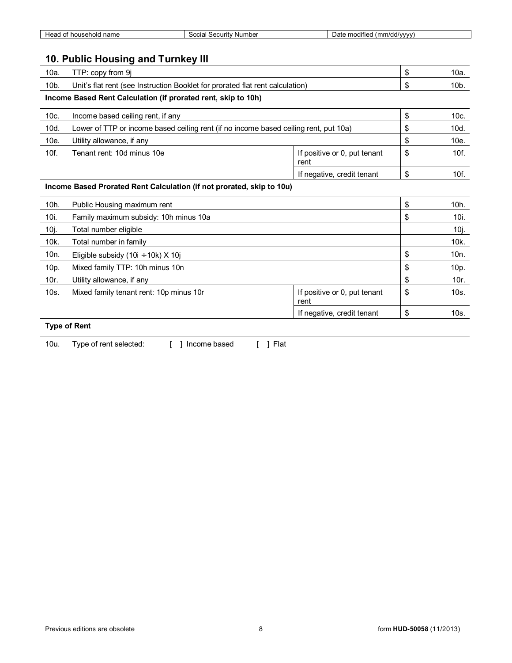| name<br>ലാദ<br>usenoic<br>v<br>— а. | ' Number<br>Security<br>iocia<br>,, | $\cdots$<br>modified<br>n/dd/vvvv<br>Jat<br>,,,, |
|-------------------------------------|-------------------------------------|--------------------------------------------------|
|                                     |                                     |                                                  |

## **10. Public Housing and Turnkey III**

| 10a.                                                                  | TTP: copy from 9j                                                                    |                                      | \$ | $10a$ .         |
|-----------------------------------------------------------------------|--------------------------------------------------------------------------------------|--------------------------------------|----|-----------------|
| 10b.                                                                  | Unit's flat rent (see Instruction Booklet for prorated flat rent calculation)        |                                      | \$ | $10b$ .         |
|                                                                       | Income Based Rent Calculation (if prorated rent, skip to 10h)                        |                                      |    |                 |
| 10c.                                                                  | Income based ceiling rent, if any                                                    |                                      | \$ | 10c.            |
| 10d.                                                                  | Lower of TTP or income based ceiling rent (if no income based ceiling rent, put 10a) |                                      | \$ | 10d.            |
| 10e.                                                                  | Utility allowance, if any                                                            |                                      | \$ | 10e.            |
| 10f.                                                                  | Tenant rent: 10d minus 10e                                                           | If positive or 0, put tenant<br>rent | \$ | 10f.            |
|                                                                       |                                                                                      | If negative, credit tenant           | \$ | 10f.            |
| Income Based Prorated Rent Calculation (if not prorated, skip to 10u) |                                                                                      |                                      |    |                 |
| 10h.                                                                  | Public Housing maximum rent                                                          |                                      | \$ | 10h.            |
| 10i.                                                                  | Family maximum subsidy: 10h minus 10a                                                |                                      | \$ | 10i.            |
| 10j.                                                                  | Total number eligible                                                                |                                      |    | 10j.            |
| 10k.                                                                  | Total number in family                                                               |                                      |    | 10k.            |
| 10 <sub>n.</sub>                                                      | Eligible subsidy (10i $\div$ 10k) X 10j                                              |                                      | \$ | 10 <sub>n</sub> |
| 10p.                                                                  | Mixed family TTP: 10h minus 10n                                                      |                                      | \$ | 10p.            |
| 10r.                                                                  | Utility allowance, if any                                                            |                                      | \$ | 10r.            |
| 10s.                                                                  | Mixed family tenant rent: 10p minus 10r                                              | If positive or 0, put tenant<br>rent | \$ | 10s.            |
|                                                                       |                                                                                      | If negative, credit tenant           | \$ | 10s.            |
| <b>Type of Rent</b>                                                   |                                                                                      |                                      |    |                 |

| 10u.<br>∙lat<br>- - -<br>n.<br>----<br>cologiac<br>l vne<br>noone<br>$\epsilon$<br>ור ר<br>seleueu<br>was <del>o</del> w<br>.<br>$\sim$ |
|-----------------------------------------------------------------------------------------------------------------------------------------|
|-----------------------------------------------------------------------------------------------------------------------------------------|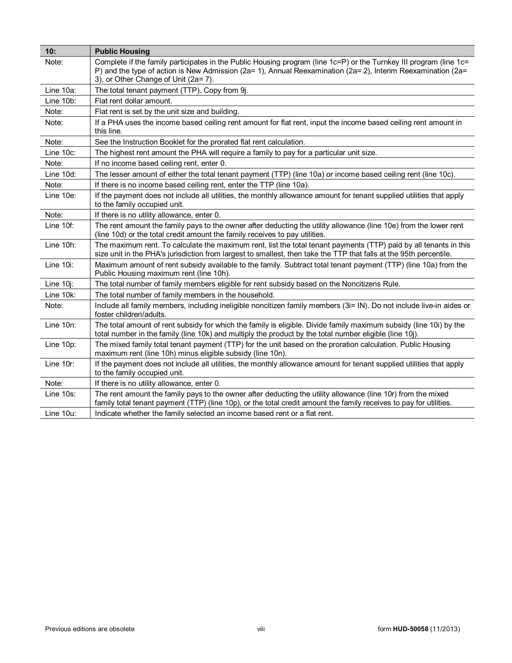| 10:          | <b>Public Housing</b>                                                                                                                                                                                                                                                      |
|--------------|----------------------------------------------------------------------------------------------------------------------------------------------------------------------------------------------------------------------------------------------------------------------------|
| Note:        | Complete if the family participates in the Public Housing program (line 1c=P) or the Turnkey III program (line 1c=<br>P) and the type of action is New Admission (2a= 1), Annual Reexamination (2a= 2), Interim Reexamination (2a=<br>3), or Other Change of Unit (2a= 7). |
| Line 10a:    | The total tenant payment (TTP). Copy from 9j.                                                                                                                                                                                                                              |
| Line 10b:    | Flat rent dollar amount.                                                                                                                                                                                                                                                   |
| Note:        | Flat rent is set by the unit size and building.                                                                                                                                                                                                                            |
| Note:        | If a PHA uses the income based ceiling rent amount for flat rent, input the income based ceiling rent amount in<br>this line.                                                                                                                                              |
| Note:        | See the Instruction Booklet for the prorated flat rent calculation.                                                                                                                                                                                                        |
| Line 10c:    | The highest rent amount the PHA will require a family to pay for a particular unit size.                                                                                                                                                                                   |
| Note:        | If no income based ceiling rent, enter 0.                                                                                                                                                                                                                                  |
| Line 10d:    | The lesser amount of either the total tenant payment (TTP) (line 10a) or income based ceiling rent (line 10c).                                                                                                                                                             |
| Note:        | If there is no income based ceiling rent, enter the TTP (line 10a).                                                                                                                                                                                                        |
| Line 10e:    | If the payment does not include all utilities, the monthly allowance amount for tenant supplied utilities that apply<br>to the family occupied unit.                                                                                                                       |
| Note:        | If there is no utility allowance, enter 0.                                                                                                                                                                                                                                 |
| Line 10f:    | The rent amount the family pays to the owner after deducting the utility allowance (line 10e) from the lower rent<br>(line 10d) or the total credit amount the family receives to pay utilities.                                                                           |
| Line 10h:    | The maximum rent. To calculate the maximum rent, list the total tenant payments (TTP) paid by all tenants in this<br>size unit in the PHA's jurisdiction from largest to smallest, then take the TTP that falls at the 95th percentile.                                    |
| Line 10i:    | Maximum amount of rent subsidy available to the family. Subtract total tenant payment (TTP) (line 10a) from the<br>Public Housing maximum rent (line 10h).                                                                                                                 |
| Line $10i$ : | The total number of family members eligible for rent subsidy based on the Noncitizens Rule.                                                                                                                                                                                |
| Line 10k:    | The total number of family members in the household.                                                                                                                                                                                                                       |
| Note:        | Include all family members, including ineligible noncitizen family members (3i= IN). Do not include live-in aides or<br>foster children/adults.                                                                                                                            |
| Line 10n:    | The total amount of rent subsidy for which the family is eligible. Divide family maximum subsidy (line 10i) by the<br>total number in the family (line 10k) and multiply the product by the total number eligible (line 10j).                                              |
| Line 10p:    | The mixed family total tenant payment (TTP) for the unit based on the proration calculation. Public Housing<br>maximum rent (line 10h) minus eligible subsidy (line 10n).                                                                                                  |
| Line 10r:    | If the payment does not include all utilities, the monthly allowance amount for tenant supplied utilities that apply<br>to the family occupied unit.                                                                                                                       |
| Note:        | If there is no utility allowance, enter 0.                                                                                                                                                                                                                                 |
| Line 10s:    | The rent amount the family pays to the owner after deducting the utility allowance (line 10r) from the mixed<br>family total tenant payment (TTP) (line 10p), or the total credit amount the family receives to pay for utilities.                                         |
| Line 10u:    | Indicate whether the family selected an income based rent or a flat rent.                                                                                                                                                                                                  |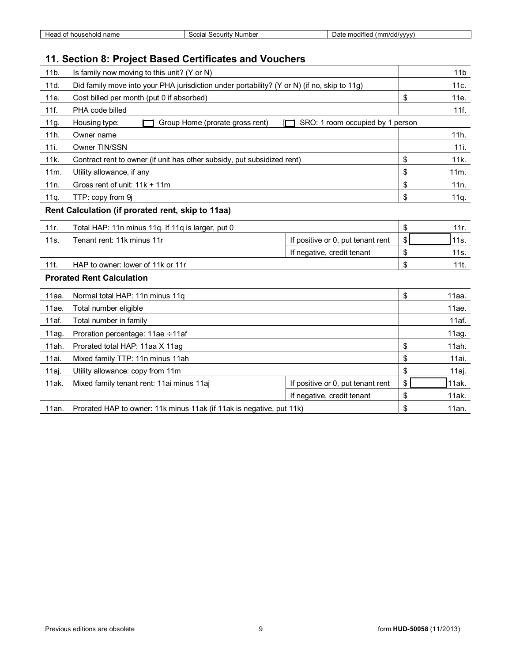| . householr<br>name<br>Head | Number<br>`≏curitv .<br>Social<br>ುರು | $\sim$ $\sim$ $\sim$<br>ulddiwww.<br>modified<br>יז הו<br>mr<br>741 E |
|-----------------------------|---------------------------------------|-----------------------------------------------------------------------|
|                             |                                       |                                                                       |

## **11. Section 8: Project Based Certificates and Vouchers**

| 11b.                                                                                                | Is family now moving to this unit? (Y or N)                             |                                   | 11 <sub>b</sub> |
|-----------------------------------------------------------------------------------------------------|-------------------------------------------------------------------------|-----------------------------------|-----------------|
| 11d.<br>Did family move into your PHA jurisdiction under portability? (Y or N) (if no, skip to 11g) |                                                                         | 11c.                              |                 |
| 11e.                                                                                                | Cost billed per month (put 0 if absorbed)                               |                                   | \$<br>11e.      |
| 11f.                                                                                                | PHA code billed                                                         |                                   | 11f.            |
| 11g.                                                                                                | Group Home (prorate gross rent)<br>Housing type:                        | SRO: 1 room occupied by 1 person  |                 |
| 11h.                                                                                                | Owner name                                                              |                                   | 11h.            |
| 11i.                                                                                                | Owner TIN/SSN                                                           |                                   | 11i.            |
| 11k.                                                                                                | Contract rent to owner (if unit has other subsidy, put subsidized rent) |                                   | \$<br>11k.      |
| 11m.                                                                                                | Utility allowance, if any                                               |                                   | \$<br>11m.      |
| 11n.                                                                                                | Gross rent of unit: 11k + 11m                                           |                                   | \$<br>11n.      |
| 11q.                                                                                                | TTP: copy from 9j                                                       |                                   | \$<br>11q.      |
|                                                                                                     | Rent Calculation (if prorated rent, skip to 11aa)                       |                                   |                 |
| 11r.                                                                                                | Total HAP: 11n minus 11q. If 11q is larger, put 0                       |                                   | \$<br>11r.      |
| 11s.                                                                                                | Tenant rent: 11k minus 11r                                              | If positive or 0, put tenant rent | \$<br>11s.      |
|                                                                                                     |                                                                         | If negative, credit tenant        | \$<br>11s.      |
| 11t.                                                                                                | HAP to owner: lower of 11k or 11r                                       |                                   | \$<br>111.      |
|                                                                                                     | <b>Prorated Rent Calculation</b>                                        |                                   |                 |
| 11aa.                                                                                               | Normal total HAP: 11n minus 11q                                         |                                   | \$<br>11aa.     |
| 11ae.                                                                                               | Total number eligible                                                   |                                   | 11ae.           |
| 11af.                                                                                               | Total number in family                                                  |                                   | 11af.           |
| 11aq.                                                                                               | Proration percentage: $11ae \div 11af$                                  |                                   | 11aq.           |
| 11ah.                                                                                               | Prorated total HAP: 11aa X 11ag                                         |                                   | \$<br>11ah.     |
| 11ai.                                                                                               | Mixed family TTP: 11n minus 11ah                                        |                                   | \$<br>11ai.     |
| 11aj.                                                                                               | Utility allowance: copy from 11m                                        |                                   | \$<br>11aj.     |
| 11ak.                                                                                               | Mixed family tenant rent: 11ai minus 11aj                               | If positive or 0, put tenant rent | \$<br>11ak.     |
|                                                                                                     |                                                                         | If negative, credit tenant        | \$<br>11ak.     |
| Prorated HAP to owner: 11k minus 11ak (if 11ak is negative, put 11k)<br>11an.                       |                                                                         | \$<br>11an.                       |                 |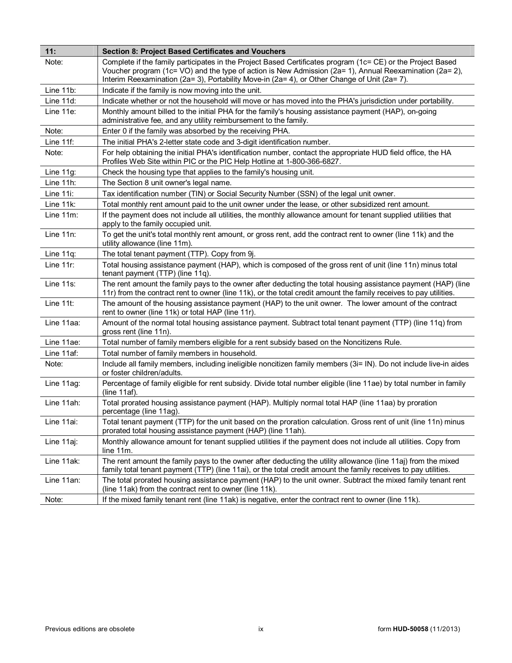| 11:          | <b>Section 8: Project Based Certificates and Vouchers</b>                                                                                                                                                                                                                                                              |
|--------------|------------------------------------------------------------------------------------------------------------------------------------------------------------------------------------------------------------------------------------------------------------------------------------------------------------------------|
| Note:        | Complete if the family participates in the Project Based Certificates program (1c= CE) or the Project Based<br>Voucher program (1c= VO) and the type of action is New Admission (2a= 1), Annual Reexamination (2a= 2),<br>Interim Reexamination (2a= 3), Portability Move-in (2a= 4), or Other Change of Unit (2a= 7). |
| Line 11b:    | Indicate if the family is now moving into the unit.                                                                                                                                                                                                                                                                    |
| Line 11d:    | Indicate whether or not the household will move or has moved into the PHA's jurisdiction under portability.                                                                                                                                                                                                            |
| Line 11e:    | Monthly amount billed to the initial PHA for the family's housing assistance payment (HAP), on-going<br>administrative fee, and any utility reimbursement to the family.                                                                                                                                               |
| Note:        | Enter 0 if the family was absorbed by the receiving PHA.                                                                                                                                                                                                                                                               |
| Line 11f:    | The initial PHA's 2-letter state code and 3-digit identification number.                                                                                                                                                                                                                                               |
| Note:        | For help obtaining the initial PHA's identification number, contact the appropriate HUD field office, the HA<br>Profiles Web Site within PIC or the PIC Help Hotline at 1-800-366-6827.                                                                                                                                |
| Line 11g:    | Check the housing type that applies to the family's housing unit.                                                                                                                                                                                                                                                      |
| Line 11h:    | The Section 8 unit owner's legal name.                                                                                                                                                                                                                                                                                 |
| Line 11i:    | Tax identification number (TIN) or Social Security Number (SSN) of the legal unit owner.                                                                                                                                                                                                                               |
| Line 11k:    | Total monthly rent amount paid to the unit owner under the lease, or other subsidized rent amount.                                                                                                                                                                                                                     |
| Line $11m$ : | If the payment does not include all utilities, the monthly allowance amount for tenant supplied utilities that<br>apply to the family occupied unit.                                                                                                                                                                   |
| Line 11n:    | To get the unit's total monthly rent amount, or gross rent, add the contract rent to owner (line 11k) and the<br>utility allowance (line 11m).                                                                                                                                                                         |
| Line 11q:    | The total tenant payment (TTP). Copy from 9j.                                                                                                                                                                                                                                                                          |
| Line $11r$ : | Total housing assistance payment (HAP), which is composed of the gross rent of unit (line 11n) minus total<br>tenant payment (TTP) (line 11q).                                                                                                                                                                         |
| Line 11s:    | The rent amount the family pays to the owner after deducting the total housing assistance payment (HAP) (line<br>11r) from the contract rent to owner (line 11k), or the total credit amount the family receives to pay utilities.                                                                                     |
| Line 11t:    | The amount of the housing assistance payment (HAP) to the unit owner. The lower amount of the contract<br>rent to owner (line 11k) or total HAP (line 11r).                                                                                                                                                            |
| Line 11aa:   | Amount of the normal total housing assistance payment. Subtract total tenant payment (TTP) (line 11q) from<br>gross rent (line 11n).                                                                                                                                                                                   |
| Line 11ae:   | Total number of family members eligible for a rent subsidy based on the Noncitizens Rule.                                                                                                                                                                                                                              |
| Line 11af:   | Total number of family members in household.                                                                                                                                                                                                                                                                           |
| Note:        | Include all family members, including ineligible noncitizen family members (3i= IN). Do not include live-in aides<br>or foster children/adults.                                                                                                                                                                        |
| Line 11ag:   | Percentage of family eligible for rent subsidy. Divide total number eligible (line 11ae) by total number in family<br>(line 11af).                                                                                                                                                                                     |
| Line 11ah:   | Total prorated housing assistance payment (HAP). Multiply normal total HAP (line 11aa) by proration<br>percentage (line 11ag).                                                                                                                                                                                         |
| Line 11ai:   | Total tenant payment (TTP) for the unit based on the proration calculation. Gross rent of unit (line 11n) minus<br>prorated total housing assistance payment (HAP) (line 11ah).                                                                                                                                        |
| Line 11aj:   | Monthly allowance amount for tenant supplied utilities if the payment does not include all utilities. Copy from<br>line 11m.                                                                                                                                                                                           |
| Line 11ak:   | The rent amount the family pays to the owner after deducting the utility allowance (line 11aj) from the mixed<br>family total tenant payment (TTP) (line 11ai), or the total credit amount the family receives to pay utilities.                                                                                       |
| Line 11an:   | The total prorated housing assistance payment (HAP) to the unit owner. Subtract the mixed family tenant rent<br>(line 11ak) from the contract rent to owner (line 11k).                                                                                                                                                |
| Note:        | If the mixed family tenant rent (line 11ak) is negative, enter the contract rent to owner (line 11k).                                                                                                                                                                                                                  |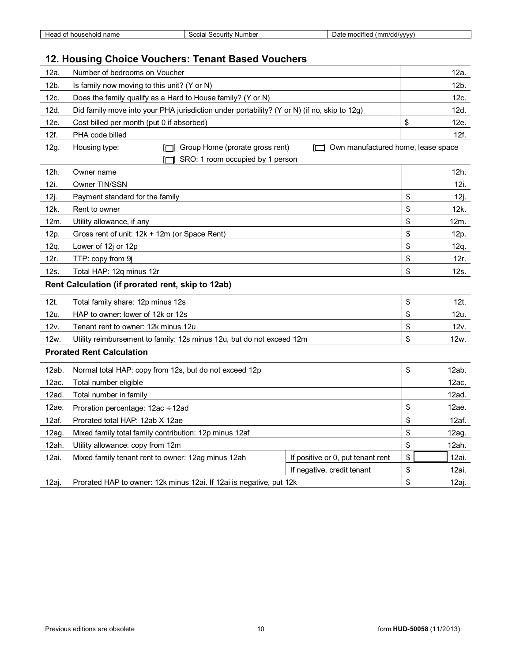| ' name<br>household<br>неас<br>ОТ | ' Number<br>" ecurity۔<br>Social | .<br>:1/dd/vvvv<br>mm<br>modified<br>. Jate<br>, , , , |
|-----------------------------------|----------------------------------|--------------------------------------------------------|

## **12. Housing Choice Vouchers: Tenant Based Vouchers**

| 12a.                             | Number of bedrooms on Voucher                                                                          | 12a.                               |
|----------------------------------|--------------------------------------------------------------------------------------------------------|------------------------------------|
| 12b.                             | Is family now moving to this unit? (Y or N)                                                            |                                    |
| 12c.                             | Does the family qualify as a Hard to House family? (Y or N)                                            |                                    |
| 12d.                             | Did family move into your PHA jurisdiction under portability? (Y or N) (if no, skip to 12g)            | 12d.                               |
| 12e.                             | Cost billed per month (put 0 if absorbed)                                                              | \$<br>12e.                         |
| 12f.                             | PHA code billed                                                                                        | 12f.                               |
| 12g.                             | Group Home (prorate gross rent)<br>Housing type:<br>╓─┓<br>m<br>SRO: 1 room occupied by 1 person<br>ſП | Own manufactured home, lease space |
| 12h.                             | Owner name                                                                                             | 12h.                               |
| 12i.                             | Owner TIN/SSN                                                                                          | 12i.                               |
| 12j.                             | Payment standard for the family                                                                        | \$<br>12j.                         |
| 12k.                             | Rent to owner                                                                                          | \$<br>12k.                         |
| 12m.                             | Utility allowance, if any                                                                              | \$<br>12m.                         |
| 12p.                             | Gross rent of unit: 12k + 12m (or Space Rent)                                                          | \$<br>12p.                         |
| 12q.                             | Lower of 12j or 12p                                                                                    | \$<br>12q.                         |
| 12r.                             | TTP: copy from 9j                                                                                      | \$<br>12r.                         |
| 12s.<br>Total HAP: 12q minus 12r |                                                                                                        | \$<br>12s.                         |
|                                  | Rent Calculation (if prorated rent, skip to 12ab)                                                      |                                    |
| 12t.                             | Total family share: 12p minus 12s                                                                      | \$<br>12t.                         |
| 12u.                             | HAP to owner: lower of 12k or 12s                                                                      | \$<br>12u.                         |
| 12v.                             | Tenant rent to owner: 12k minus 12u                                                                    | \$<br>12v.                         |
| 12w.                             | Utility reimbursement to family: 12s minus 12u, but do not exceed 12m                                  |                                    |
|                                  | <b>Prorated Rent Calculation</b>                                                                       |                                    |
| 12ab.                            | Normal total HAP: copy from 12s, but do not exceed 12p                                                 | \$<br>12ab.                        |
| 12ac.                            | Total number eligible                                                                                  |                                    |
| 12ad.                            | Total number in family                                                                                 |                                    |
| 12ae.                            | Proration percentage: 12ac ÷ 12ad                                                                      |                                    |
| 12af.                            | Prorated total HAP: 12ab X 12ae                                                                        |                                    |
| 12ag.                            | Mixed family total family contribution: 12p minus 12af                                                 | \$<br>12ag.                        |
| 12ah.                            | Utility allowance: copy from 12m                                                                       | \$<br>12ah.                        |
| 12ai.                            | Mixed family tenant rent to owner: 12ag minus 12ah<br>If positive or 0, put tenant rent                | \$<br>12ai.                        |
|                                  |                                                                                                        |                                    |
|                                  | If negative, credit tenant                                                                             | \$<br>12ai.                        |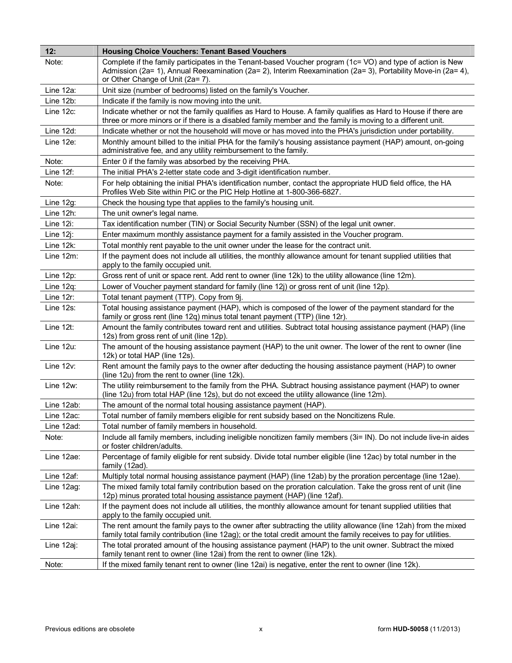| 12:          | <b>Housing Choice Vouchers: Tenant Based Vouchers</b>                                                                                                                                                                                                          |
|--------------|----------------------------------------------------------------------------------------------------------------------------------------------------------------------------------------------------------------------------------------------------------------|
| Note:        | Complete if the family participates in the Tenant-based Voucher program (1c= VO) and type of action is New<br>Admission (2a= 1), Annual Reexamination (2a= 2), Interim Reexamination (2a= 3), Portability Move-in (2a= 4),<br>or Other Change of Unit (2a= 7). |
| Line 12a:    | Unit size (number of bedrooms) listed on the family's Voucher.                                                                                                                                                                                                 |
| Line 12b:    | Indicate if the family is now moving into the unit.                                                                                                                                                                                                            |
| Line 12c:    | Indicate whether or not the family qualifies as Hard to House. A family qualifies as Hard to House if there are<br>three or more minors or if there is a disabled family member and the family is moving to a different unit.                                  |
| Line 12d:    | Indicate whether or not the household will move or has moved into the PHA's jurisdiction under portability.                                                                                                                                                    |
| Line 12e:    | Monthly amount billed to the initial PHA for the family's housing assistance payment (HAP) amount, on-going<br>administrative fee, and any utility reimbursement to the family.                                                                                |
| Note:        | Enter 0 if the family was absorbed by the receiving PHA.                                                                                                                                                                                                       |
| Line 12f:    | The initial PHA's 2-letter state code and 3-digit identification number.                                                                                                                                                                                       |
| Note:        | For help obtaining the initial PHA's identification number, contact the appropriate HUD field office, the HA<br>Profiles Web Site within PIC or the PIC Help Hotline at 1-800-366-6827.                                                                        |
| Line 12g:    | Check the housing type that applies to the family's housing unit.                                                                                                                                                                                              |
| Line 12h:    | The unit owner's legal name.                                                                                                                                                                                                                                   |
| Line 12i:    | Tax identification number (TIN) or Social Security Number (SSN) of the legal unit owner.                                                                                                                                                                       |
| Line $12$ j: | Enter maximum monthly assistance payment for a family assisted in the Voucher program.                                                                                                                                                                         |
| Line 12k:    | Total monthly rent payable to the unit owner under the lease for the contract unit.                                                                                                                                                                            |
| Line 12m:    | If the payment does not include all utilities, the monthly allowance amount for tenant supplied utilities that<br>apply to the family occupied unit.                                                                                                           |
| Line 12p:    | Gross rent of unit or space rent. Add rent to owner (line 12k) to the utility allowance (line 12m).                                                                                                                                                            |
| Line 12q:    | Lower of Voucher payment standard for family (line 12j) or gross rent of unit (line 12p).                                                                                                                                                                      |
| Line 12r:    | Total tenant payment (TTP). Copy from 9j.                                                                                                                                                                                                                      |
| Line 12s:    | Total housing assistance payment (HAP), which is composed of the lower of the payment standard for the<br>family or gross rent (line 12q) minus total tenant payment (TTP) (line 12r).                                                                         |
| Line 12t:    | Amount the family contributes toward rent and utilities. Subtract total housing assistance payment (HAP) (line<br>12s) from gross rent of unit (line 12p).                                                                                                     |
| Line 12u:    | The amount of the housing assistance payment (HAP) to the unit owner. The lower of the rent to owner (line<br>12k) or total HAP (line 12s).                                                                                                                    |
| Line 12v:    | Rent amount the family pays to the owner after deducting the housing assistance payment (HAP) to owner<br>(line 12u) from the rent to owner (line 12k).                                                                                                        |
| Line 12w:    | The utility reimbursement to the family from the PHA. Subtract housing assistance payment (HAP) to owner<br>(line 12u) from total HAP (line 12s), but do not exceed the utility allowance (line 12m).                                                          |
| Line 12ab:   | The amount of the normal total housing assistance payment (HAP).                                                                                                                                                                                               |
| Line 12ac:   | Total number of family members eligible for rent subsidy based on the Noncitizens Rule.                                                                                                                                                                        |
| Line 12ad:   | Total number of family members in household.                                                                                                                                                                                                                   |
| Note:        | Include all family members, including ineligible noncitizen family members (3i= IN). Do not include live-in aides<br>or foster children/adults.                                                                                                                |
| Line 12ae:   | Percentage of family eligible for rent subsidy. Divide total number eligible (line 12ac) by total number in the<br>family (12ad).                                                                                                                              |
| Line 12af:   | Multiply total normal housing assistance payment (HAP) (line 12ab) by the proration percentage (line 12ae).                                                                                                                                                    |
| Line 12ag:   | The mixed family total family contribution based on the proration calculation. Take the gross rent of unit (line<br>12p) minus prorated total housing assistance payment (HAP) (line 12af).                                                                    |
| Line 12ah:   | If the payment does not include all utilities, the monthly allowance amount for tenant supplied utilities that<br>apply to the family occupied unit.                                                                                                           |
| Line 12ai:   | The rent amount the family pays to the owner after subtracting the utility allowance (line 12ah) from the mixed<br>family total family contribution (line 12ag); or the total credit amount the family receives to pay for utilities.                          |
| Line 12aj:   | The total prorated amount of the housing assistance payment (HAP) to the unit owner. Subtract the mixed<br>family tenant rent to owner (line 12ai) from the rent to owner (line 12k).                                                                          |
| Note:        | If the mixed family tenant rent to owner (line 12ai) is negative, enter the rent to owner (line 12k).                                                                                                                                                          |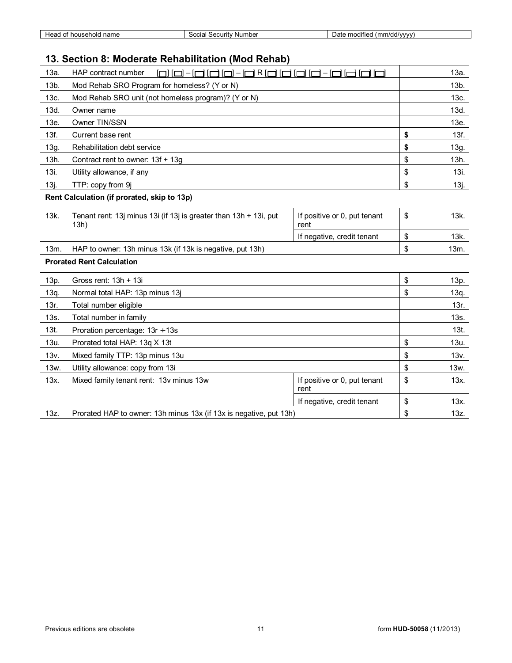| household<br>name<br>неао<br>ີ | / Number<br>Security.<br>Social | <br>(mm/dd/vvvv)<br>modified<br>Date |
|--------------------------------|---------------------------------|--------------------------------------|

## **13. Section 8: Moderate Rehabilitation (Mod Rehab)**

| 13a.<br>HAP contract number<br>7101-10R1010<br>ی نصر حالت ا               |                                      | 13a.       |
|---------------------------------------------------------------------------|--------------------------------------|------------|
| 13b.<br>Mod Rehab SRO Program for homeless? (Y or N)                      |                                      | $13b$ .    |
| Mod Rehab SRO unit (not homeless program)? (Y or N)                       |                                      | 13c.       |
| Owner name                                                                |                                      | 13d.       |
| Owner TIN/SSN                                                             |                                      | 13e.       |
| Current base rent                                                         |                                      | \$<br>13f. |
| Rehabilitation debt service                                               |                                      | \$<br>13g. |
| Contract rent to owner: 13f + 13g                                         |                                      | \$<br>13h. |
| Utility allowance, if any                                                 |                                      | \$<br>13i. |
| TTP: copy from 9j                                                         |                                      | \$<br>13j. |
| Rent Calculation (if prorated, skip to 13p)                               |                                      |            |
| Tenant rent: 13j minus 13i (if 13j is greater than 13h + 13i, put<br>13h) | If positive or 0, put tenant<br>rent | \$<br>13k. |
|                                                                           |                                      | \$<br>13k. |
|                                                                           | If negative, credit tenant           |            |
| HAP to owner: 13h minus 13k (if 13k is negative, put 13h)                 |                                      | \$<br>13m. |
| <b>Prorated Rent Calculation</b>                                          |                                      |            |
| Gross rent: $13h + 13i$                                                   |                                      | \$<br>13p. |
| Normal total HAP: 13p minus 13j                                           |                                      | \$<br>13q. |
| Total number eligible                                                     |                                      | 13r.       |
| Total number in family                                                    |                                      | 13s.       |
| Proration percentage: $13r \div 13s$                                      |                                      | $13t$ .    |
| Prorated total HAP: 13q X 13t                                             |                                      | \$<br>13u. |
| Mixed family TTP: 13p minus 13u                                           |                                      | \$<br>13v. |
| Utility allowance: copy from 13i                                          |                                      | \$<br>13w. |
| Mixed family tenant rent: 13v minus 13w                                   | If positive or 0, put tenant<br>rent | \$<br>13x. |
|                                                                           | If negative, credit tenant           | \$<br>13x. |
|                                                                           |                                      |            |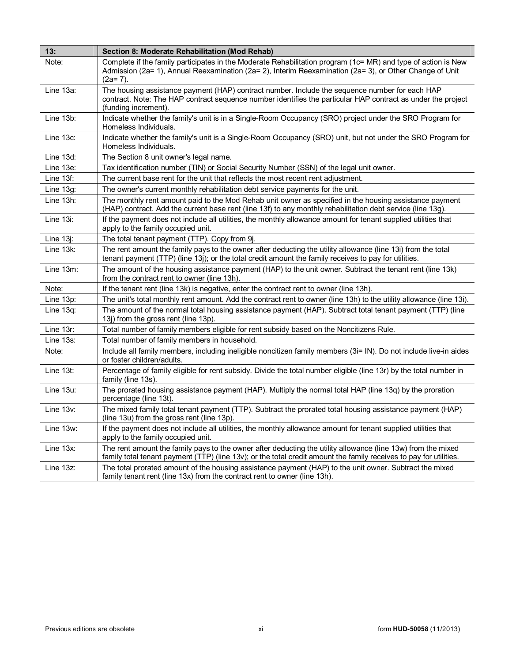| 13:          | Section 8: Moderate Rehabilitation (Mod Rehab)                                                                                                                                                                                         |
|--------------|----------------------------------------------------------------------------------------------------------------------------------------------------------------------------------------------------------------------------------------|
| Note:        | Complete if the family participates in the Moderate Rehabilitation program (1c= MR) and type of action is New<br>Admission (2a= 1), Annual Reexamination (2a= 2), Interim Reexamination (2a= 3), or Other Change of Unit<br>(2a= 7).   |
| Line 13a:    | The housing assistance payment (HAP) contract number. Include the sequence number for each HAP<br>contract. Note: The HAP contract sequence number identifies the particular HAP contract as under the project<br>(funding increment). |
| Line 13b:    | Indicate whether the family's unit is in a Single-Room Occupancy (SRO) project under the SRO Program for<br>Homeless Individuals.                                                                                                      |
| Line 13c:    | Indicate whether the family's unit is a Single-Room Occupancy (SRO) unit, but not under the SRO Program for<br>Homeless Individuals.                                                                                                   |
| Line 13d:    | The Section 8 unit owner's legal name.                                                                                                                                                                                                 |
| Line 13e:    | Tax identification number (TIN) or Social Security Number (SSN) of the legal unit owner.                                                                                                                                               |
| Line 13f:    | The current base rent for the unit that reflects the most recent rent adjustment.                                                                                                                                                      |
| Line 13g:    | The owner's current monthly rehabilitation debt service payments for the unit.                                                                                                                                                         |
| Line 13h:    | The monthly rent amount paid to the Mod Rehab unit owner as specified in the housing assistance payment<br>(HAP) contract. Add the current base rent (line 13f) to any monthly rehabilitation debt service (line 13g).                 |
| Line 13i:    | If the payment does not include all utilities, the monthly allowance amount for tenant supplied utilities that<br>apply to the family occupied unit.                                                                                   |
| Line 13j:    | The total tenant payment (TTP). Copy from 9.                                                                                                                                                                                           |
| Line $13k$ : | The rent amount the family pays to the owner after deducting the utility allowance (line 13i) from the total<br>tenant payment (TTP) (line 13j); or the total credit amount the family receives to pay for utilities.                  |
| Line 13m:    | The amount of the housing assistance payment (HAP) to the unit owner. Subtract the tenant rent (line 13k)<br>from the contract rent to owner (line 13h)                                                                                |
| Note:        | If the tenant rent (line 13k) is negative, enter the contract rent to owner (line 13h).                                                                                                                                                |
| Line 13p:    | The unit's total monthly rent amount. Add the contract rent to owner (line 13h) to the utility allowance (line 13i).                                                                                                                   |
| Line $13q$ : | The amount of the normal total housing assistance payment (HAP). Subtract total tenant payment (TTP) (line<br>13j) from the gross rent (line 13p).                                                                                     |
| Line 13r:    | Total number of family members eligible for rent subsidy based on the Noncitizens Rule.                                                                                                                                                |
| Line 13s:    | Total number of family members in household.                                                                                                                                                                                           |
| Note:        | Include all family members, including ineligible noncitizen family members (3i= IN). Do not include live-in aides<br>or foster children/adults.                                                                                        |
| Line $13t$ : | Percentage of family eligible for rent subsidy. Divide the total number eligible (line 13r) by the total number in<br>family (line 13s).                                                                                               |
| Line 13u:    | The prorated housing assistance payment (HAP). Multiply the normal total HAP (line 13q) by the proration<br>percentage (line 13t).                                                                                                     |
| Line $13v$ : | The mixed family total tenant payment (TTP). Subtract the prorated total housing assistance payment (HAP)<br>(line 13u) from the gross rent (line 13p).                                                                                |
| Line 13w:    | If the payment does not include all utilities, the monthly allowance amount for tenant supplied utilities that<br>apply to the family occupied unit.                                                                                   |
| Line 13x:    | The rent amount the family pays to the owner after deducting the utility allowance (line 13w) from the mixed<br>family total tenant payment (TTP) (line 13v); or the total credit amount the family receives to pay for utilities.     |
| Line 13z:    | The total prorated amount of the housing assistance payment (HAP) to the unit owner. Subtract the mixed<br>family tenant rent (line 13x) from the contract rent to owner (line 13h).                                                   |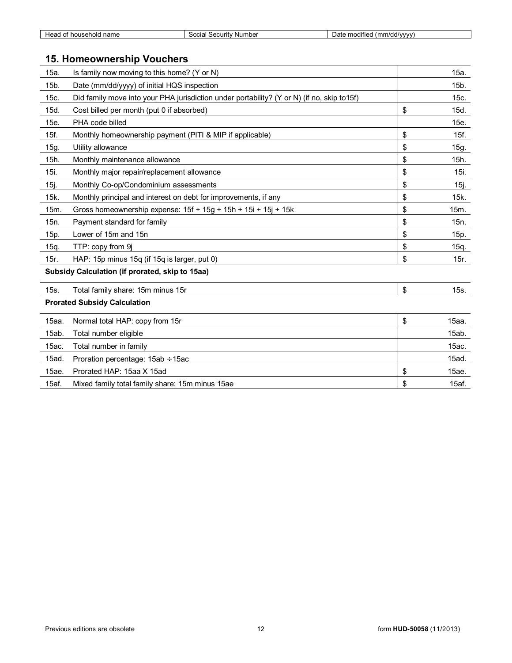| name<br>ലാദ<br>usenoic<br>v<br>— а. | ' Number<br>Security<br>iocia<br>,, | $\cdots$<br>modified<br>n/dd/vvvv<br>Jat<br>,,,, |
|-------------------------------------|-------------------------------------|--------------------------------------------------|
|                                     |                                     |                                                  |

## **15. Homeownership Vouchers**

| 15a.  | Is family now moving to this home? (Y or N)                                                | 15a.        |
|-------|--------------------------------------------------------------------------------------------|-------------|
| 15b.  | Date (mm/dd/yyyy) of initial HQS inspection                                                | $15b$ .     |
| 15c.  | Did family move into your PHA jurisdiction under portability? (Y or N) (if no, skip to15f) | 15c.        |
| 15d.  | Cost billed per month (put 0 if absorbed)                                                  | \$<br>15d.  |
| 15e.  | PHA code billed                                                                            | 15e.        |
| 15f.  | Monthly homeownership payment (PITI & MIP if applicable)                                   | \$<br>15f.  |
| 15g.  | Utility allowance                                                                          | \$<br>15g.  |
| 15h.  | Monthly maintenance allowance                                                              | \$<br>15h.  |
| 15i.  | Monthly major repair/replacement allowance                                                 | \$<br>15i.  |
| 15j.  | Monthly Co-op/Condominium assessments                                                      | \$<br>15j.  |
| 15k.  | Monthly principal and interest on debt for improvements, if any                            | \$<br>15k.  |
| 15m.  | Gross homeownership expense: 15f + 15g + 15h + 15i + 15j + 15k                             | \$<br>15m.  |
| 15n.  | Payment standard for family                                                                | \$<br>15n.  |
| 15p.  | Lower of 15m and 15n                                                                       | \$<br>15p.  |
| 15q.  | TTP: copy from 9j                                                                          | \$<br>15q.  |
| 15r.  | HAP: 15p minus 15q (if 15q is larger, put 0)                                               | \$<br>15r.  |
|       | Subsidy Calculation (if prorated, skip to 15aa)                                            |             |
| 15s.  | Total family share: 15m minus 15r                                                          | \$<br>15s.  |
|       | <b>Prorated Subsidy Calculation</b>                                                        |             |
| 15aa. | Normal total HAP: copy from 15r                                                            | \$<br>15aa. |
| 15ab. | Total number eligible                                                                      | 15ab.       |
| 15ac. | Total number in family                                                                     | 15ac.       |
| 15ad. | Proration percentage: $15ab \div 15ac$                                                     | 15ad.       |
| 15ae. | Prorated HAP: 15aa X 15ad                                                                  | \$<br>15ae. |
| 15af. | Mixed family total family share: 15m minus 15ae                                            | \$<br>15af. |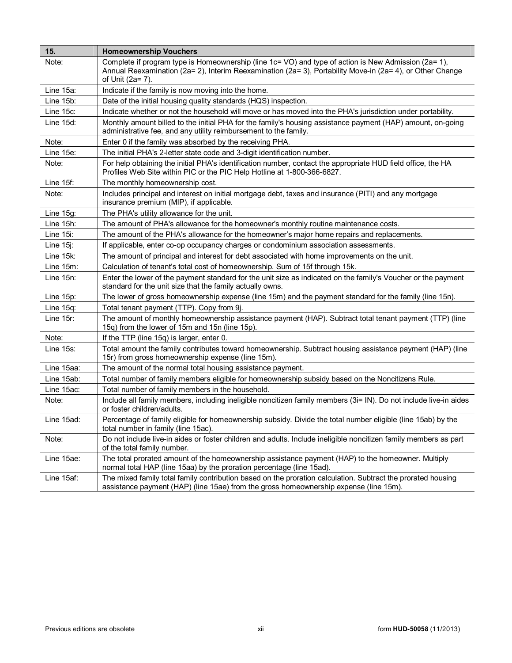| 15.         | <b>Homeownership Vouchers</b>                                                                                                                                                                                                         |
|-------------|---------------------------------------------------------------------------------------------------------------------------------------------------------------------------------------------------------------------------------------|
| Note:       | Complete if program type is Homeownership (line 1c= VO) and type of action is New Admission (2a= 1),<br>Annual Reexamination (2a= 2), Interim Reexamination (2a= 3), Portability Move-in (2a= 4), or Other Change<br>of Unit (2a= 7). |
| Line 15a:   | Indicate if the family is now moving into the home.                                                                                                                                                                                   |
| Line 15b:   | Date of the initial housing quality standards (HQS) inspection.                                                                                                                                                                       |
| Line 15c:   | Indicate whether or not the household will move or has moved into the PHA's jurisdiction under portability.                                                                                                                           |
| Line 15d:   | Monthly amount billed to the initial PHA for the family's housing assistance payment (HAP) amount, on-going<br>administrative fee, and any utility reimbursement to the family.                                                       |
| Note:       | Enter 0 if the family was absorbed by the receiving PHA.                                                                                                                                                                              |
| Line 15e:   | The initial PHA's 2-letter state code and 3-digit identification number.                                                                                                                                                              |
| Note:       | For help obtaining the initial PHA's identification number, contact the appropriate HUD field office, the HA<br>Profiles Web Site within PIC or the PIC Help Hotline at 1-800-366-6827.                                               |
| Line 15f:   | The monthly homeownership cost.                                                                                                                                                                                                       |
| Note:       | Includes principal and interest on initial mortgage debt, taxes and insurance (PITI) and any mortgage<br>insurance premium (MIP), if applicable.                                                                                      |
| Line 15g:   | The PHA's utility allowance for the unit.                                                                                                                                                                                             |
| Line 15h:   | The amount of PHA's allowance for the homeowner's monthly routine maintenance costs.                                                                                                                                                  |
| Line 15i:   | The amount of the PHA's allowance for the homeowner's major home repairs and replacements.                                                                                                                                            |
| Line $15$ . | If applicable, enter co-op occupancy charges or condominium association assessments.                                                                                                                                                  |
| Line 15k:   | The amount of principal and interest for debt associated with home improvements on the unit.                                                                                                                                          |
| Line 15m:   | Calculation of tenant's total cost of homeownership. Sum of 15f through 15k.                                                                                                                                                          |
| Line 15n:   | Enter the lower of the payment standard for the unit size as indicated on the family's Voucher or the payment<br>standard for the unit size that the family actually owns.                                                            |
| Line 15p:   | The lower of gross homeownership expense (line 15m) and the payment standard for the family (line 15n).                                                                                                                               |
| Line 15g:   | Total tenant payment (TTP). Copy from 9j.                                                                                                                                                                                             |
| Line 15r:   | The amount of monthly homeownership assistance payment (HAP). Subtract total tenant payment (TTP) (line<br>15q) from the lower of 15m and 15n (line 15p).                                                                             |
| Note:       | If the TTP (line 15q) is larger, enter 0.                                                                                                                                                                                             |
| Line 15s:   | Total amount the family contributes toward homeownership. Subtract housing assistance payment (HAP) (line<br>15r) from gross homeownership expense (line 15m)                                                                         |
| Line 15aa:  | The amount of the normal total housing assistance payment.                                                                                                                                                                            |
| Line 15ab:  | Total number of family members eligible for homeownership subsidy based on the Noncitizens Rule.                                                                                                                                      |
| Line 15ac:  | Total number of family members in the household.                                                                                                                                                                                      |
| Note:       | Include all family members, including ineligible noncitizen family members (3i= IN). Do not include live-in aides<br>or foster children/adults.                                                                                       |
| Line 15ad:  | Percentage of family eligible for homeownership subsidy. Divide the total number eligible (line 15ab) by the<br>total number in family (line 15ac).                                                                                   |
| Note:       | Do not include live-in aides or foster children and adults. Include ineligible noncitizen family members as part<br>of the total family number.                                                                                       |
| Line 15ae:  | The total prorated amount of the homeownership assistance payment (HAP) to the homeowner. Multiply<br>normal total HAP (line 15aa) by the proration percentage (line 15ad).                                                           |
| Line 15af:  | The mixed family total family contribution based on the proration calculation. Subtract the prorated housing<br>assistance payment (HAP) (line 15ae) from the gross homeownership expense (line 15m).                                 |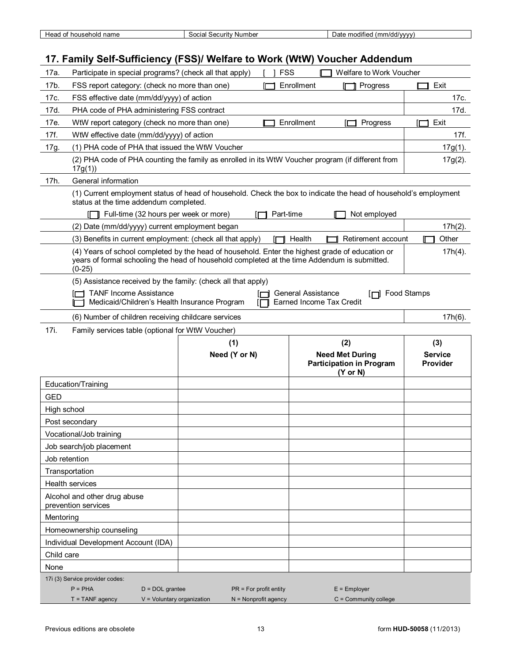| name<br>household<br><b>SAC</b><br>ıcau<br>. . | : Number<br>Security<br>Social | <br>(mm/dd/vvvv)<br>. modified<br>Jate |
|------------------------------------------------|--------------------------------|----------------------------------------|

## **17. Family Self-Sufficiency (FSS)/ Welfare to Work (WtW) Voucher Addendum**

| 17a.        | Participate in special programs? (check all that apply)                                                                                                                                                     |                          | <b>FSS</b> | Welfare to Work Voucher                                                          |                                   |
|-------------|-------------------------------------------------------------------------------------------------------------------------------------------------------------------------------------------------------------|--------------------------|------------|----------------------------------------------------------------------------------|-----------------------------------|
| 17b.        | FSS report category: (check no more than one)                                                                                                                                                               |                          | Enrollment | Progress                                                                         | Exit                              |
| 17c.        | FSS effective date (mm/dd/yyyy) of action                                                                                                                                                                   |                          |            |                                                                                  | 17c.                              |
| 17d.        | PHA code of PHA administering FSS contract                                                                                                                                                                  |                          |            |                                                                                  | 17d.                              |
| 17e.        | WtW report category (check no more than one)                                                                                                                                                                |                          | Enrollment | Progress                                                                         | Exit                              |
| 17f.        | WtW effective date (mm/dd/yyyy) of action                                                                                                                                                                   |                          |            |                                                                                  | 17f.                              |
| 17g.        | (1) PHA code of PHA that issued the WtW Voucher                                                                                                                                                             |                          |            |                                                                                  | $17g(1)$ .                        |
|             | (2) PHA code of PHA counting the family as enrolled in its WtW Voucher program (if different from<br>17g(1)                                                                                                 |                          |            |                                                                                  | $17g(2)$ .                        |
| 17h.        | General information                                                                                                                                                                                         |                          |            |                                                                                  |                                   |
|             | (1) Current employment status of head of household. Check the box to indicate the head of household's employment<br>status at the time addendum completed.<br>Full-time (32 hours per week or more)         |                          | Part-time  | Not employed                                                                     |                                   |
|             | (2) Date (mm/dd/yyyy) current employment began                                                                                                                                                              |                          |            |                                                                                  | $17h(2)$ .                        |
|             | (3) Benefits in current employment: (check all that apply)                                                                                                                                                  |                          | Health     | Retirement account                                                               | Other                             |
|             | (4) Years of school completed by the head of household. Enter the highest grade of education or<br>years of formal schooling the head of household completed at the time Addendum is submitted.<br>$(0-25)$ |                          |            |                                                                                  | $17h(4)$ .                        |
|             | (5) Assistance received by the family: (check all that apply)<br><b>TANF Income Assistance</b><br>Medicaid/Children's Health Insurance Program                                                              |                          |            | General Assistance<br>[□ Food Stamps<br>Earned Income Tax Credit                 |                                   |
|             | (6) Number of children receiving childcare services                                                                                                                                                         |                          |            |                                                                                  | $17h(6)$ .                        |
| 17i.        | Family services table (optional for WtW Voucher)                                                                                                                                                            |                          |            |                                                                                  |                                   |
|             |                                                                                                                                                                                                             |                          |            |                                                                                  |                                   |
|             |                                                                                                                                                                                                             | (1)                      |            | (2)                                                                              | (3)                               |
|             |                                                                                                                                                                                                             | Need (Y or N)            |            | <b>Need Met During</b><br><b>Participation in Program</b><br>$(Y \text{ or } N)$ | <b>Service</b><br><b>Provider</b> |
|             | Education/Training                                                                                                                                                                                          |                          |            |                                                                                  |                                   |
| <b>GED</b>  |                                                                                                                                                                                                             |                          |            |                                                                                  |                                   |
| High school |                                                                                                                                                                                                             |                          |            |                                                                                  |                                   |
|             | Post secondary                                                                                                                                                                                              |                          |            |                                                                                  |                                   |
|             | Vocational/Job training                                                                                                                                                                                     |                          |            |                                                                                  |                                   |
|             | Job search/job placement                                                                                                                                                                                    |                          |            |                                                                                  |                                   |
|             | Job retention                                                                                                                                                                                               |                          |            |                                                                                  |                                   |
|             | Transportation                                                                                                                                                                                              |                          |            |                                                                                  |                                   |
|             | Health services                                                                                                                                                                                             |                          |            |                                                                                  |                                   |
|             | Alcohol and other drug abuse<br>prevention services                                                                                                                                                         |                          |            |                                                                                  |                                   |
| Mentoring   |                                                                                                                                                                                                             |                          |            |                                                                                  |                                   |
|             | Homeownership counseling                                                                                                                                                                                    |                          |            |                                                                                  |                                   |
|             | Individual Development Account (IDA)                                                                                                                                                                        |                          |            |                                                                                  |                                   |
| Child care  |                                                                                                                                                                                                             |                          |            |                                                                                  |                                   |
| None        |                                                                                                                                                                                                             |                          |            |                                                                                  |                                   |
|             | 17i (3) Service provider codes:<br>$P = PHA$<br>$D = DOL$ grantee                                                                                                                                           | $PR = For profit entity$ |            | $E =$ Employer                                                                   |                                   |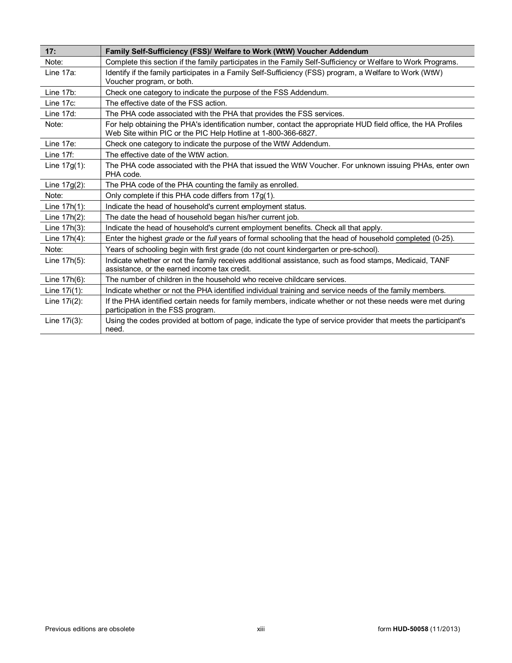| 17:             | Family Self-Sufficiency (FSS)/ Welfare to Work (WtW) Voucher Addendum                                                                                                           |
|-----------------|---------------------------------------------------------------------------------------------------------------------------------------------------------------------------------|
| Note:           | Complete this section if the family participates in the Family Self-Sufficiency or Welfare to Work Programs.                                                                    |
| Line 17a:       | Identify if the family participates in a Family Self-Sufficiency (FSS) program, a Welfare to Work (WtW)<br>Voucher program, or both.                                            |
| Line 17b:       | Check one category to indicate the purpose of the FSS Addendum.                                                                                                                 |
| Line 17c:       | The effective date of the FSS action.                                                                                                                                           |
| Line 17d:       | The PHA code associated with the PHA that provides the FSS services.                                                                                                            |
| Note:           | For help obtaining the PHA's identification number, contact the appropriate HUD field office, the HA Profiles<br>Web Site within PIC or the PIC Help Hotline at 1-800-366-6827. |
| Line 17e:       | Check one category to indicate the purpose of the WtW Addendum.                                                                                                                 |
| Line $17f$ :    | The effective date of the WtW action.                                                                                                                                           |
| Line $17g(1)$ : | The PHA code associated with the PHA that issued the WtW Voucher. For unknown issuing PHAs, enter own<br>PHA code.                                                              |
| Line $17g(2)$ : | The PHA code of the PHA counting the family as enrolled.                                                                                                                        |
| Note:           | Only complete if this PHA code differs from 17g(1).                                                                                                                             |
| Line 17h(1):    | Indicate the head of household's current employment status.                                                                                                                     |
| Line 17h(2):    | The date the head of household began his/her current job.                                                                                                                       |
| Line $17h(3)$ : | Indicate the head of household's current employment benefits. Check all that apply.                                                                                             |
| Line 17h(4):    | Enter the highest grade or the full years of formal schooling that the head of household completed (0-25).                                                                      |
| Note:           | Years of schooling begin with first grade (do not count kindergarten or pre-school).                                                                                            |
| Line 17h(5):    | Indicate whether or not the family receives additional assistance, such as food stamps, Medicaid, TANF<br>assistance, or the earned income tax credit.                          |
| Line 17h(6):    | The number of children in the household who receive childcare services.                                                                                                         |
| Line $17i(1)$ : | Indicate whether or not the PHA identified individual training and service needs of the family members.                                                                         |
| Line $17i(2)$ : | If the PHA identified certain needs for family members, indicate whether or not these needs were met during<br>participation in the FSS program.                                |
| Line 17i(3):    | Using the codes provided at bottom of page, indicate the type of service provider that meets the participant's<br>need.                                                         |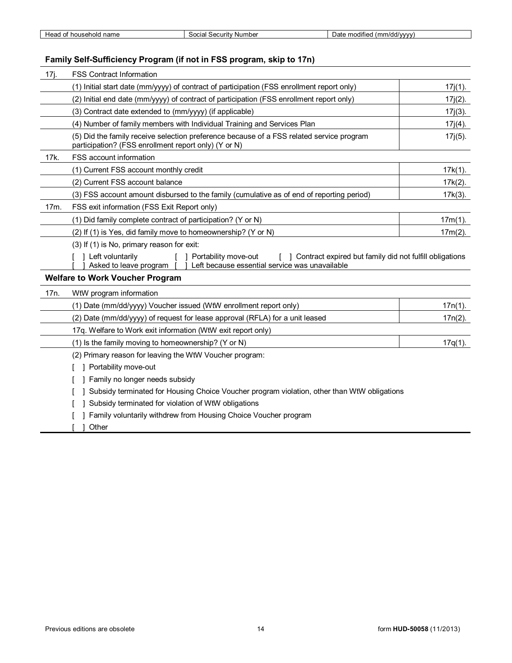| hold<br>houser<br>неао<br>name<br>v | Number<br>Security<br>$\sim$<br>ا م امد | $\mathcal{M}$ $\mathcal{M}$ $\mathcal{M}$<br>moaifie<br>Jdli<br>. |
|-------------------------------------|-----------------------------------------|-------------------------------------------------------------------|
|                                     |                                         |                                                                   |

## **Family Self-Sufficiency Program (if not in FSS program, skip to 17n)**

| 17j. | <b>FSS Contract Information</b>                                                                                                                                                     |            |  |
|------|-------------------------------------------------------------------------------------------------------------------------------------------------------------------------------------|------------|--|
|      | (1) Initial start date (mm/yyyy) of contract of participation (FSS enrollment report only)                                                                                          | $17j(1)$ . |  |
|      | (2) Initial end date (mm/yyyy) of contract of participation (FSS enrollment report only)                                                                                            | $17j(2)$ . |  |
|      | (3) Contract date extended to (mm/yyyy) (if applicable)                                                                                                                             | $17j(3)$ . |  |
|      | (4) Number of family members with Individual Training and Services Plan                                                                                                             | $17j(4)$ . |  |
|      | (5) Did the family receive selection preference because of a FSS related service program<br>participation? (FSS enrollment report only) (Y or N)                                    | $17j(5)$ . |  |
| 17k. | <b>FSS account information</b>                                                                                                                                                      |            |  |
|      | (1) Current FSS account monthly credit                                                                                                                                              | $17k(1)$ . |  |
|      | (2) Current FSS account balance                                                                                                                                                     | $17k(2)$ . |  |
|      | (3) FSS account amount disbursed to the family (cumulative as of end of reporting period)                                                                                           | $17k(3)$ . |  |
| 17m. | FSS exit information (FSS Exit Report only)                                                                                                                                         |            |  |
|      | (1) Did family complete contract of participation? (Y or N)                                                                                                                         | $17m(1)$ . |  |
|      | (2) If (1) is Yes, did family move to homeownership? (Y or N)                                                                                                                       | $17m(2)$ . |  |
|      | (3) If (1) is No, primary reason for exit:                                                                                                                                          |            |  |
|      | 1 Left voluntarily<br>1 Portability move-out<br>Contract expired but family did not fulfill obligations<br>Left because essential service was unavailable<br>Asked to leave program |            |  |
|      | <b>Welfare to Work Voucher Program</b>                                                                                                                                              |            |  |
| 17n. | WtW program information                                                                                                                                                             |            |  |
|      | (1) Date (mm/dd/yyyy) Voucher issued (WtW enrollment report only)                                                                                                                   | $17n(1)$ . |  |
|      | (2) Date (mm/dd/yyyy) of request for lease approval (RFLA) for a unit leased                                                                                                        | $17n(2)$ . |  |
|      | 17q. Welfare to Work exit information (WtW exit report only)                                                                                                                        |            |  |
|      | (1) Is the family moving to homeownership? (Y or N)                                                                                                                                 | $17q(1)$ . |  |
|      | (2) Primary reason for leaving the WtW Voucher program:                                                                                                                             |            |  |
|      | ] Portability move-out                                                                                                                                                              |            |  |
|      | Family no longer needs subsidy                                                                                                                                                      |            |  |
|      | Subsidy terminated for Housing Choice Voucher program violation, other than WtW obligations                                                                                         |            |  |
|      | Subsidy terminated for violation of WtW obligations                                                                                                                                 |            |  |
|      | Family voluntarily withdrew from Housing Choice Voucher program                                                                                                                     |            |  |
|      | 1 Other                                                                                                                                                                             |            |  |